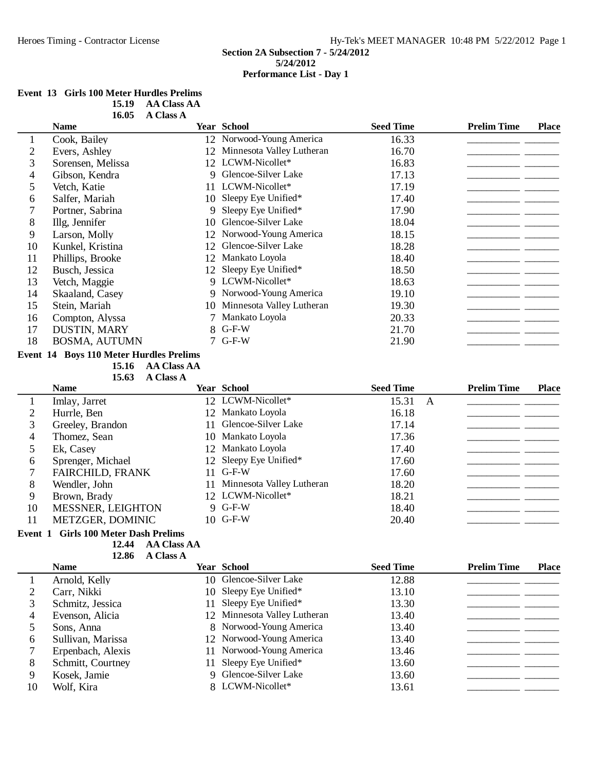## **Event 13 Girls 100 Meter Hurdles Prelims**

| 15.19 | <b>AA Class AA</b> |
|-------|--------------------|
| 16.05 | A Class A          |

|    | <b>Name</b>                                    |    | <b>Year School</b>        | <b>Seed Time</b> | <b>Prelim Time</b> | <b>Place</b> |
|----|------------------------------------------------|----|---------------------------|------------------|--------------------|--------------|
| 1  | Cook, Bailey                                   |    | 12 Norwood-Young America  | 16.33            |                    |              |
| 2  | Evers, Ashley                                  | 12 | Minnesota Valley Lutheran | 16.70            |                    |              |
| 3  | Sorensen, Melissa                              |    | 12 LCWM-Nicollet*         | 16.83            |                    |              |
| 4  | Gibson, Kendra                                 |    | 9 Glencoe-Silver Lake     | 17.13            |                    |              |
| 5  | Vetch, Katie                                   |    | 11 LCWM-Nicollet*         | 17.19            |                    |              |
| 6  | Salfer, Mariah                                 | 10 | Sleepy Eye Unified*       | 17.40            |                    |              |
|    | Portner, Sabrina                               | 9  | Sleepy Eye Unified*       | 17.90            |                    |              |
| 8  | Illg, Jennifer                                 | 10 | Glencoe-Silver Lake       | 18.04            |                    |              |
| 9  | Larson, Molly                                  | 12 | Norwood-Young America     | 18.15            |                    |              |
| 10 | Kunkel, Kristina                               | 12 | Glencoe-Silver Lake       | 18.28            |                    |              |
| 11 | Phillips, Brooke                               | 12 | Mankato Loyola            | 18.40            |                    |              |
| 12 | Busch, Jessica                                 |    | 12 Sleepy Eye Unified*    | 18.50            |                    |              |
| 13 | Vetch, Maggie                                  |    | 9 LCWM-Nicollet*          | 18.63            |                    |              |
| 14 | Skaaland, Casey                                |    | 9 Norwood-Young America   | 19.10            |                    |              |
| 15 | Stein, Mariah                                  | 10 | Minnesota Valley Lutheran | 19.30            |                    |              |
| 16 | Compton, Alyssa                                |    | 7 Mankato Loyola          | 20.33            |                    |              |
| 17 | DUSTIN, MARY                                   |    | 8 G-F-W                   | 21.70            |                    |              |
| 18 | <b>BOSMA, AUTUMN</b>                           |    | $7$ G-F-W                 | 21.90            |                    |              |
|    | <b>Event 14 Boys 110 Meter Hurdles Prelims</b> |    |                           |                  |                    |              |

**15.16 AA Class AA** 

|    | 15.63<br><b>A Class A</b> |                              |                  |   |                    |              |
|----|---------------------------|------------------------------|------------------|---|--------------------|--------------|
|    | <b>Name</b>               | <b>Year School</b>           | <b>Seed Time</b> |   | <b>Prelim Time</b> | <b>Place</b> |
|    | Imlay, Jarret             | 12 LCWM-Nicollet*            | 15.31            | A |                    |              |
| 2  | Hurrle, Ben               | 12 Mankato Loyola            | 16.18            |   |                    |              |
|    | Greeley, Brandon          | 11 Glencoe-Silver Lake       | 17.14            |   |                    |              |
| 4  | Thomez, Sean              | 10 Mankato Loyola            | 17.36            |   |                    |              |
|    | Ek, Casey                 | 12 Mankato Loyola            | 17.40            |   |                    |              |
| 6  | Sprenger, Michael         | 12 Sleepy Eye Unified*       | 17.60            |   |                    |              |
|    | <b>FAIRCHILD, FRANK</b>   | $11$ G-F-W                   | 17.60            |   |                    |              |
| 8  | Wendler, John             | 11 Minnesota Valley Lutheran | 18.20            |   |                    |              |
| 9  | Brown, Brady              | 12 LCWM-Nicollet*            | 18.21            |   |                    |              |
| 10 | MESSNER, LEIGHTON         | 9 G-F-W                      | 18.40            |   |                    |              |
| 11 | <b>METZGER, DOMINIC</b>   | $10$ G-F-W                   | 20.40            |   |                    |              |
|    |                           |                              |                  |   |                    |              |

#### **Event 1 Girls 100 Meter Dash Prelims**

**12.44 • AA Class AA** 

12.86 A Class A

|    | <b>Name</b>       | <b>Year School</b>           | <b>Seed Time</b> | <b>Prelim Time</b> | <b>Place</b> |
|----|-------------------|------------------------------|------------------|--------------------|--------------|
|    | Arnold, Kelly     | 10 Glencoe-Silver Lake       | 12.88            |                    |              |
|    | Carr, Nikki       | 10 Sleepy Eye Unified*       | 13.10            |                    |              |
| 3  | Schmitz, Jessica  | 11 Sleepy Eye Unified*       | 13.30            |                    |              |
|    | Evenson, Alicia   | 12 Minnesota Valley Lutheran | 13.40            |                    |              |
|    | Sons, Anna        | 8 Norwood-Young America      | 13.40            |                    |              |
| 6  | Sullivan, Marissa | 12 Norwood-Young America     | 13.40            |                    |              |
|    | Erpenbach, Alexis | 11 Norwood-Young America     | 13.46            |                    |              |
| 8  | Schmitt, Courtney | 11 Sleepy Eye Unified*       | 13.60            |                    |              |
| 9  | Kosek, Jamie      | 9 Glencoe-Silver Lake        | 13.60            |                    |              |
| 10 | Wolf, Kira        | 8 LCWM-Nicollet*             | 13.61            |                    |              |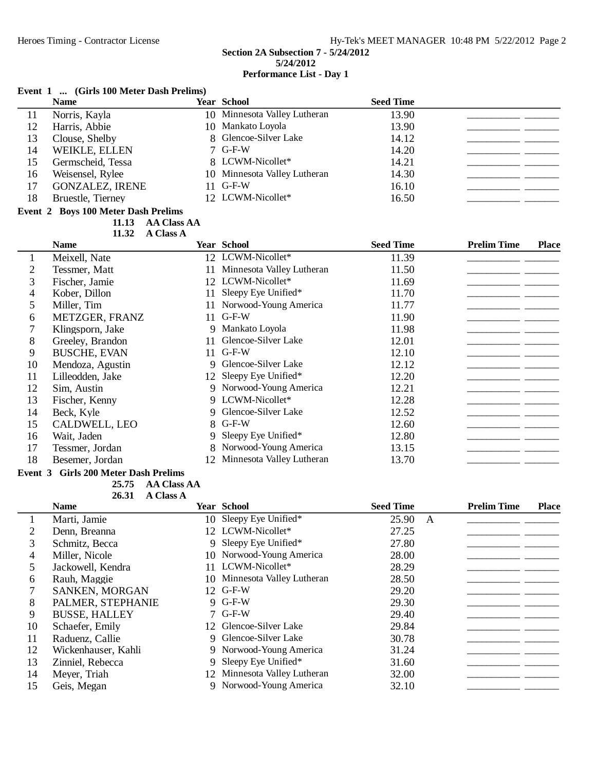## **Event 1 ... (Girls 100 Meter Dash Prelims)**

|    | <b>Name</b>            | <b>Year School</b>           | <b>Seed Time</b> |  |
|----|------------------------|------------------------------|------------------|--|
| 11 | Norris, Kayla          | 10 Minnesota Valley Lutheran | 13.90            |  |
| 12 | Harris, Abbie          | 10 Mankato Loyola            | 13.90            |  |
| 13 | Clouse, Shelby         | 8 Glencoe-Silver Lake        | 14.12            |  |
| 14 | WEIKLE, ELLEN          | $7$ G-F-W                    | 14.20            |  |
| 15 | Germscheid, Tessa      | 8 LCWM-Nicollet*             | 14.21            |  |
| 16 | Weisensel, Rylee       | 10 Minnesota Valley Lutheran | 14.30            |  |
| 17 | <b>GONZALEZ, IRENE</b> | $11$ G-F-W                   | 16.10            |  |
| 18 | Bruestle, Tierney      | 12 LCWM-Nicollet*            | 16.50            |  |

## **Event 2 Boys 100 Meter Dash Prelims**

**AA Class AA** 

**A** Class A

|    | <b>Name</b>         |     | <b>Year School</b>           | <b>Seed Time</b> | <b>Prelim Time</b> | <b>Place</b> |
|----|---------------------|-----|------------------------------|------------------|--------------------|--------------|
|    | Meixell, Nate       |     | 12 LCWM-Nicollet*            | 11.39            |                    |              |
| 2  | Tessmer, Matt       | 11  | Minnesota Valley Lutheran    | 11.50            |                    |              |
| 3  | Fischer, Jamie      | 12  | LCWM-Nicollet*               | 11.69            |                    |              |
| 4  | Kober, Dillon       | 11  | Sleepy Eye Unified*          | 11.70            |                    |              |
| 5  | Miller, Tim         | 11  | Norwood-Young America        | 11.77            |                    |              |
| 6  | METZGER, FRANZ      | 11  | $G-F-W$                      | 11.90            |                    |              |
|    | Klingsporn, Jake    | 9   | Mankato Loyola               | 11.98            |                    |              |
| 8  | Greeley, Brandon    | 11. | Glencoe-Silver Lake          | 12.01            |                    |              |
| 9  | <b>BUSCHE, EVAN</b> | 11. | $G-F-W$                      | 12.10            |                    |              |
| 10 | Mendoza, Agustin    |     | 9 Glencoe-Silver Lake        | 12.12            |                    |              |
| 11 | Lilleodden, Jake    |     | 12 Sleepy Eye Unified*       | 12.20            |                    |              |
| 12 | Sim, Austin         |     | 9 Norwood-Young America      | 12.21            |                    |              |
| 13 | Fischer, Kenny      |     | 9 LCWM-Nicollet*             | 12.28            |                    |              |
| 14 | Beck, Kyle          |     | 9 Glencoe-Silver Lake        | 12.52            |                    |              |
| 15 | CALDWELL, LEO       |     | 8 G-F-W                      | 12.60            |                    |              |
| 16 | Wait, Jaden         |     | Sleepy Eye Unified*          | 12.80            |                    |              |
| 17 | Tessmer, Jordan     |     | Norwood-Young America        | 13.15            |                    |              |
| 18 | Besemer, Jordan     |     | 12 Minnesota Valley Lutheran | 13.70            |                    |              |
|    |                     |     |                              |                  |                    |              |

## **Event 3 Girls 200 Meter Dash Prelims**

25.75 AA Class AA

|    | <b>A Class A</b><br>26.31 |    |                              |                  |                    |              |
|----|---------------------------|----|------------------------------|------------------|--------------------|--------------|
|    | <b>Name</b>               |    | <b>Year School</b>           | <b>Seed Time</b> | <b>Prelim Time</b> | <b>Place</b> |
|    | Marti, Jamie              |    | 10 Sleepy Eye Unified*       | 25.90<br>A       |                    |              |
| 2  | Denn, Breanna             |    | 12 LCWM-Nicollet*            | 27.25            |                    |              |
| 3  | Schmitz, Becca            | 9  | Sleepy Eye Unified*          | 27.80            |                    |              |
| 4  | Miller, Nicole            | 10 | Norwood-Young America        | 28.00            |                    |              |
|    | Jackowell, Kendra         |    | 11 LCWM-Nicollet*            | 28.29            |                    |              |
| 6  | Rauh, Maggie              |    | 10 Minnesota Valley Lutheran | 28.50            |                    |              |
|    | <b>SANKEN, MORGAN</b>     |    | 12 G-F-W                     | 29.20            |                    |              |
| 8  | PALMER, STEPHANIE         |    | 9 G-F-W                      | 29.30            |                    |              |
| 9  | <b>BUSSE, HALLEY</b>      |    | $7$ G-F-W                    | 29.40            |                    |              |
| 10 | Schaefer, Emily           | 12 | Glencoe-Silver Lake          | 29.84            |                    |              |
| 11 | Raduenz, Callie           |    | 9 Glencoe-Silver Lake        | 30.78            |                    |              |
| 12 | Wickenhauser, Kahli       |    | 9 Norwood-Young America      | 31.24            |                    |              |
| 13 | Zinniel, Rebecca          | 9. | Sleepy Eye Unified*          | 31.60            |                    |              |
| 14 | Meyer, Triah              | 12 | Minnesota Valley Lutheran    | 32.00            |                    |              |
| 15 | Geis, Megan               |    | 9 Norwood-Young America      | 32.10            |                    |              |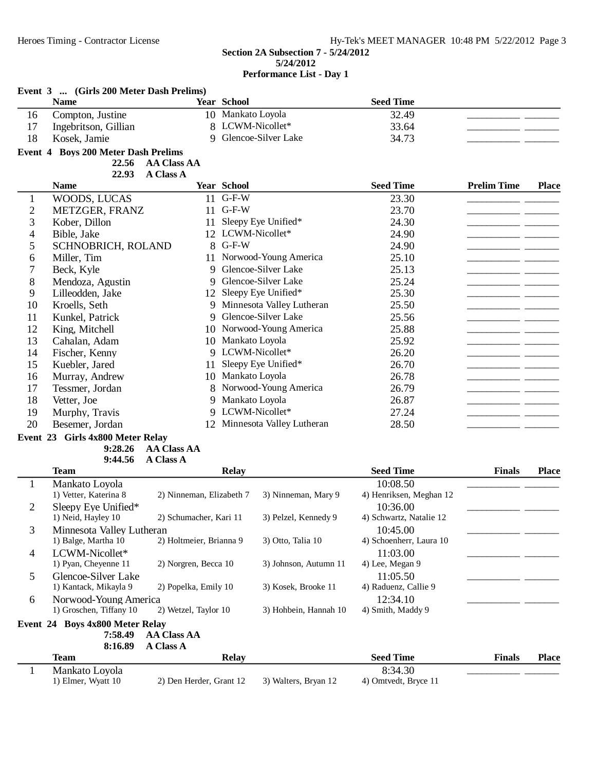|                | Event 3  (Girls 200 Meter Dash Prelims)<br><b>Name</b> |                                        | Year School       |                             | <b>Seed Time</b>        |                    |              |
|----------------|--------------------------------------------------------|----------------------------------------|-------------------|-----------------------------|-------------------------|--------------------|--------------|
| 16             | Compton, Justine                                       |                                        | 10 Mankato Loyola |                             | 32.49                   |                    |              |
| 17             | Ingebritson, Gillian                                   |                                        |                   | 8 LCWM-Nicollet*            | 33.64                   |                    |              |
| 18             | Kosek, Jamie                                           | 9                                      |                   | Glencoe-Silver Lake         | 34.73                   |                    |              |
|                | Event 4 Boys 200 Meter Dash Prelims                    |                                        |                   |                             |                         |                    |              |
|                | 22.56                                                  | <b>AA Class AA</b>                     |                   |                             |                         |                    |              |
|                | 22.93                                                  | <b>A Class A</b>                       |                   |                             |                         |                    |              |
|                | <b>Name</b>                                            |                                        | Year School       |                             | <b>Seed Time</b>        | <b>Prelim Time</b> | <b>Place</b> |
| 1              | WOODS, LUCAS                                           |                                        | 11 G-F-W          |                             | 23.30                   |                    |              |
| $\mathbf{2}$   | METZGER, FRANZ                                         |                                        | 11 G-F-W          |                             | 23.70                   |                    |              |
| 3              | Kober, Dillon                                          | 11                                     |                   | Sleepy Eye Unified*         | 24.30                   |                    |              |
| 4              | Bible, Jake                                            |                                        |                   | 12 LCWM-Nicollet*           | 24.90                   |                    |              |
| 5              | SCHNOBRICH, ROLAND                                     |                                        | 8 G-F-W           |                             | 24.90                   |                    |              |
| 6              | Miller, Tim                                            |                                        |                   | 11 Norwood-Young America    | 25.10                   |                    |              |
| 7              | Beck, Kyle                                             | 9                                      |                   | Glencoe-Silver Lake         | 25.13                   |                    |              |
| 8              | Mendoza, Agustin                                       | 9                                      |                   | Glencoe-Silver Lake         | 25.24                   |                    |              |
| 9              | Lilleodden, Jake                                       |                                        |                   | 12 Sleepy Eye Unified*      | 25.30                   |                    |              |
| 10             | Kroells, Seth                                          |                                        |                   | 9 Minnesota Valley Lutheran | 25.50                   |                    |              |
| 11             | Kunkel, Patrick                                        | 9                                      |                   | Glencoe-Silver Lake         | 25.56                   |                    |              |
| 12             | King, Mitchell                                         |                                        |                   | 10 Norwood-Young America    | 25.88                   |                    |              |
| 13             | Cahalan, Adam                                          |                                        | 10 Mankato Loyola |                             | 25.92                   |                    |              |
| 14             | Fischer, Kenny                                         |                                        |                   | 9 LCWM-Nicollet*            | 26.20                   |                    |              |
| 15             | Kuebler, Jared                                         | 11                                     |                   | Sleepy Eye Unified*         | 26.70                   |                    |              |
| 16             | Murray, Andrew                                         |                                        | 10 Mankato Loyola |                             | 26.78                   |                    |              |
| 17             | Tessmer, Jordan                                        |                                        |                   | 8 Norwood-Young America     | 26.79                   |                    |              |
| 18             | Vetter, Joe                                            |                                        | 9 Mankato Loyola  |                             | 26.87                   |                    |              |
| 19             | Murphy, Travis                                         |                                        |                   | 9 LCWM-Nicollet*            | 27.24                   |                    |              |
| 20             | Besemer, Jordan                                        | 12                                     |                   | Minnesota Valley Lutheran   | 28.50                   |                    |              |
|                | Event 23 Girls 4x800 Meter Relay                       |                                        |                   |                             |                         |                    |              |
|                | 9:28.26                                                | <b>AA Class AA</b>                     |                   |                             |                         |                    |              |
|                | 9:44.56                                                | <b>A Class A</b>                       |                   |                             |                         |                    |              |
|                | <b>Team</b>                                            |                                        | <b>Relay</b>      |                             | <b>Seed Time</b>        | <b>Finals</b>      | Place        |
| $\mathbf{1}$   | Mankato Loyola                                         |                                        |                   |                             | 10:08.50                |                    |              |
|                | 1) Vetter, Katerina 8                                  | 2) Ninneman, Elizabeth 7               |                   | 3) Ninneman, Mary 9         | 4) Henriksen, Meghan 12 |                    |              |
| $\overline{2}$ | Sleepy Eye Unified*                                    |                                        |                   |                             | 10:36.00                |                    |              |
|                | 1) Neid, Hayley 10                                     | 2) Schumacher, Kari 11                 |                   | 3) Pelzel, Kennedy 9        | 4) Schwartz, Natalie 12 |                    |              |
| 3              | Minnesota Valley Lutheran                              |                                        |                   |                             | 10:45.00                |                    |              |
|                | 1) Balge, Martha 10                                    | 2) Holtmeier, Brianna 9                |                   | 3) Otto, Talia 10           | 4) Schoenherr, Laura 10 |                    |              |
| 4              | LCWM-Nicollet*                                         |                                        |                   |                             | 11:03.00                |                    |              |
|                | 1) Pyan, Cheyenne 11                                   | 2) Norgren, Becca 10                   |                   | 3) Johnson, Autumn 11       | 4) Lee, Megan 9         |                    |              |
| 5              | Glencoe-Silver Lake                                    |                                        |                   |                             | 11:05.50                |                    |              |
|                | 1) Kantack, Mikayla 9                                  | 2) Popelka, Emily 10                   |                   | 3) Kosek, Brooke 11         | 4) Raduenz, Callie 9    |                    |              |
| 6              | Norwood-Young America                                  |                                        |                   |                             | 12:34.10                |                    |              |
|                | 1) Groschen, Tiffany 10                                | 2) Wetzel, Taylor 10                   |                   | 3) Hohbein, Hannah 10       | 4) Smith, Maddy 9       |                    |              |
|                | Event 24 Boys 4x800 Meter Relay                        |                                        |                   |                             |                         |                    |              |
|                | 7:58.49<br>8:16.89                                     | <b>AA Class AA</b><br><b>A Class A</b> |                   |                             |                         |                    |              |
|                | <b>Team</b>                                            |                                        | <b>Relay</b>      |                             | <b>Seed Time</b>        | <b>Finals</b>      | <b>Place</b> |
| 1              | Mankato Loyola                                         |                                        |                   |                             | 8:34.30                 |                    |              |
|                | 1) Elmer, Wyatt 10                                     | 2) Den Herder, Grant 12                |                   | 3) Walters, Bryan 12        | 4) Omtvedt, Bryce 11    |                    |              |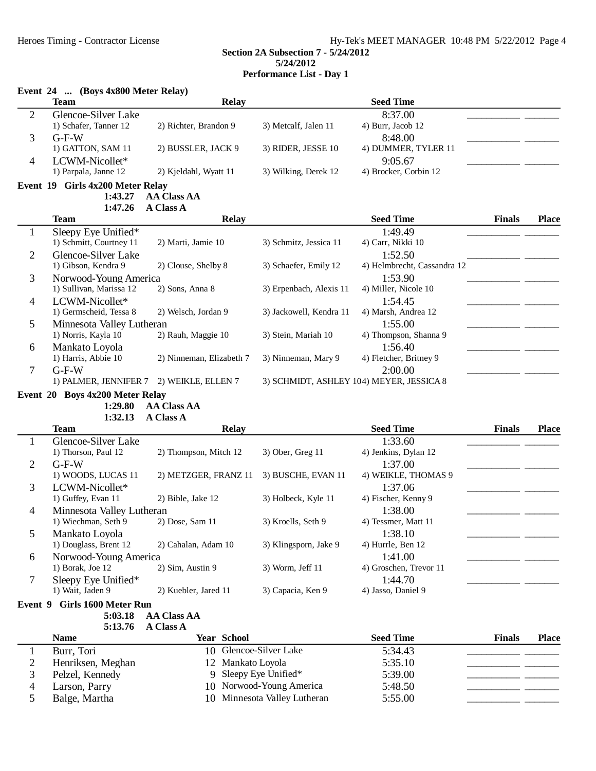## Event 24 (Roys 4x800 Meter Relay)

|                | EVEIL $24$ (DOYS 48000 NICLEI REIAY)<br><b>Team</b> | <b>Relay</b>             |                          | <b>Seed Time</b>                         |               |              |
|----------------|-----------------------------------------------------|--------------------------|--------------------------|------------------------------------------|---------------|--------------|
| $\overline{2}$ | Glencoe-Silver Lake                                 |                          |                          | 8:37.00                                  |               |              |
|                | 1) Schafer, Tanner 12                               | 2) Richter, Brandon 9    | 3) Metcalf, Jalen 11     | 4) Burr, Jacob 12                        |               |              |
| 3              | $G-F-W$                                             |                          |                          | 8:48.00                                  |               |              |
|                | 1) GATTON, SAM 11                                   | 2) BUSSLER, JACK 9       | 3) RIDER, JESSE 10       | 4) DUMMER, TYLER 11                      |               |              |
| $\overline{4}$ | LCWM-Nicollet*                                      |                          |                          | 9:05.67                                  |               |              |
|                | 1) Parpala, Janne 12                                | 2) Kjeldahl, Wyatt 11    | 3) Wilking, Derek 12     | 4) Brocker, Corbin 12                    |               |              |
|                | Event 19 Girls 4x200 Meter Relay                    |                          |                          |                                          |               |              |
|                | 1:43.27                                             | <b>AA Class AA</b>       |                          |                                          |               |              |
|                |                                                     |                          |                          |                                          |               |              |
|                | 1:47.26                                             | <b>A Class A</b>         |                          |                                          |               |              |
|                | <b>Team</b>                                         | <b>Relay</b>             |                          | <b>Seed Time</b>                         | <b>Finals</b> | <b>Place</b> |
| $\mathbf{1}$   | Sleepy Eye Unified*                                 |                          |                          | 1:49.49                                  |               |              |
|                | 1) Schmitt, Courtney 11                             | 2) Marti, Jamie 10       | 3) Schmitz, Jessica 11   | 4) Carr, Nikki 10                        |               |              |
| $\overline{2}$ | Glencoe-Silver Lake                                 |                          |                          | 1:52.50                                  |               |              |
|                | 1) Gibson, Kendra 9                                 | 2) Clouse, Shelby 8      | 3) Schaefer, Emily 12    | 4) Helmbrecht, Cassandra 12              |               |              |
| 3              | Norwood-Young America                               |                          |                          | 1:53.90                                  |               |              |
|                | 1) Sullivan, Marissa 12                             | 2) Sons, Anna 8          | 3) Erpenbach, Alexis 11  | 4) Miller, Nicole 10                     |               |              |
| $\overline{4}$ | LCWM-Nicollet*                                      |                          |                          | 1:54.45                                  |               |              |
|                | 1) Germscheid, Tessa 8                              | 2) Welsch, Jordan 9      | 3) Jackowell, Kendra 11  | 4) Marsh, Andrea 12                      |               |              |
| 5              | Minnesota Valley Lutheran                           |                          |                          | 1:55.00                                  |               |              |
|                | 1) Norris, Kayla 10                                 | 2) Rauh, Maggie 10       | 3) Stein, Mariah 10      | 4) Thompson, Shanna 9                    |               |              |
| 6              | Mankato Loyola                                      |                          |                          | 1:56.40                                  |               |              |
|                | 1) Harris, Abbie 10                                 | 2) Ninneman, Elizabeth 7 | 3) Ninneman, Mary 9      | 4) Fletcher, Britney 9                   |               |              |
| $\tau$         | $G-F-W$                                             |                          |                          | 2:00.00                                  |               |              |
|                | 1) PALMER, JENNIFER 7                               | 2) WEIKLE, ELLEN 7       |                          | 3) SCHMIDT, ASHLEY 104) MEYER, JESSICA 8 |               |              |
|                | Event 20 Boys 4x200 Meter Relay                     |                          |                          |                                          |               |              |
|                | 1:29.80                                             | <b>AA Class AA</b>       |                          |                                          |               |              |
|                | 1:32.13                                             | A Class A                |                          |                                          |               |              |
|                | <b>Team</b>                                         | <b>Relay</b>             |                          | <b>Seed Time</b>                         | <b>Finals</b> | <b>Place</b> |
| $\mathbf{1}$   | Glencoe-Silver Lake                                 |                          |                          | 1:33.60                                  |               |              |
|                | 1) Thorson, Paul 12                                 | 2) Thompson, Mitch 12    | 3) Ober, Greg 11         | 4) Jenkins, Dylan 12                     |               |              |
| $\overline{2}$ | $G-F-W$                                             |                          |                          | 1:37.00                                  |               |              |
|                | 1) WOODS, LUCAS 11                                  | 2) METZGER, FRANZ 11     | 3) BUSCHE, EVAN 11       | 4) WEIKLE, THOMAS 9                      |               |              |
| 3              | LCWM-Nicollet*                                      |                          |                          | 1:37.06                                  |               |              |
|                | 1) Guffey, Evan 11                                  | 2) Bible, Jake 12        | 3) Holbeck, Kyle 11      | 4) Fischer, Kenny 9                      |               |              |
| $\overline{4}$ | Minnesota Valley Lutheran                           |                          |                          | 1:38.00                                  |               |              |
|                | 1) Wiechman, Seth 9                                 | 2) Dose, Sam 11          | 3) Kroells, Seth 9       | 4) Tessmer, Matt 11                      |               |              |
| 5              | Mankato Loyola                                      |                          |                          | 1:38.10                                  |               |              |
|                | 1) Douglass, Brent 12                               | 2) Cahalan, Adam 10      | 3) Klingsporn, Jake 9    | 4) Hurrle, Ben 12                        |               |              |
|                |                                                     |                          |                          | 1:41.00                                  |               |              |
| 6              | Norwood-Young America                               |                          | 3) Worm, Jeff 11         |                                          |               |              |
|                | 1) Borak, Joe 12                                    | 2) Sim, Austin 9         |                          | 4) Groschen, Trevor 11                   |               |              |
| 7              | Sleepy Eye Unified*                                 |                          |                          | 1:44.70                                  |               |              |
|                | 1) Wait, Jaden 9                                    | 2) Kuebler, Jared 11     | 3) Capacia, Ken 9        | 4) Jasso, Daniel 9                       |               |              |
|                | Event 9 Girls 1600 Meter Run                        |                          |                          |                                          |               |              |
|                | 5:03.18                                             | <b>AA Class AA</b>       |                          |                                          |               |              |
|                | 5:13.76                                             | A Class A                |                          |                                          |               |              |
|                | <b>Name</b>                                         | <b>Year School</b>       |                          | <b>Seed Time</b>                         | <b>Finals</b> | <b>Place</b> |
| $\mathbf{1}$   | Burr, Tori                                          | 10 Glencoe-Silver Lake   |                          | 5:34.43                                  |               |              |
| $\overline{c}$ | Henriksen, Meghan                                   | 12 Mankato Loyola        |                          | 5:35.10                                  |               |              |
| 3              | Pelzel, Kennedy                                     | 9                        | Sleepy Eye Unified*      | 5:39.00                                  |               |              |
| $\overline{4}$ | Larson, Parry                                       |                          | 10 Norwood-Young America | 5:48.50                                  |               |              |
|                |                                                     |                          |                          |                                          |               |              |

5 Balge, Martha 10 Minnesota Valley Lutheran 5:55.00 \_\_\_\_\_\_\_\_\_\_\_\_\_\_\_\_\_\_\_\_

4 Larson, Parry 10 Norwood-Young America 5:48.50<br>5 Balge, Martha 10 Minnesota Valley Lutheran 5:55.00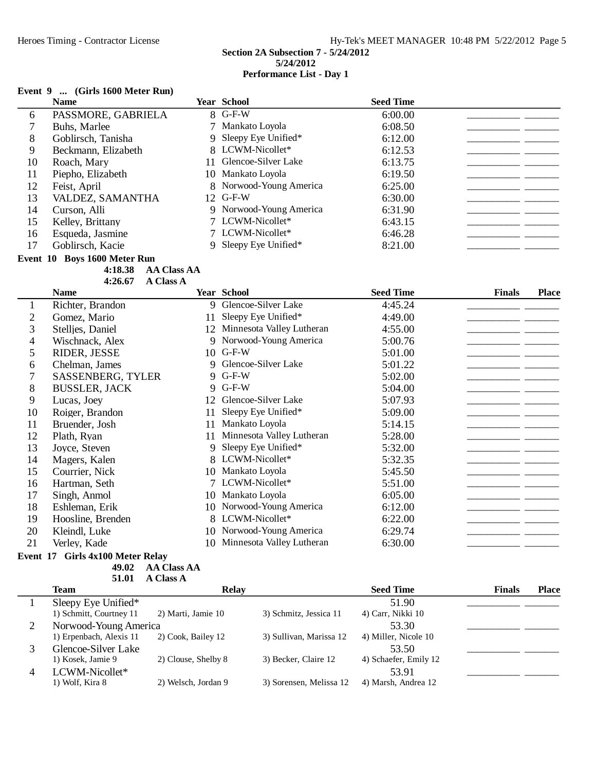## **Event 9 ... (Girls 1600 Meter Run)**

|    | <b>Name</b>         |    | Year School             | <b>Seed Time</b> |  |
|----|---------------------|----|-------------------------|------------------|--|
| 6  | PASSMORE, GABRIELA  |    | 8 G-F-W                 | 6:00.00          |  |
|    | Buhs, Marlee        |    | 7 Mankato Loyola        | 6:08.50          |  |
| 8  | Goblirsch, Tanisha  |    | 9 Sleepy Eye Unified*   | 6:12.00          |  |
| 9  | Beckmann, Elizabeth |    | 8 LCWM-Nicollet*        | 6:12.53          |  |
| 10 | Roach, Mary         | 11 | Glencoe-Silver Lake     | 6:13.75          |  |
| 11 | Piepho, Elizabeth   |    | 10 Mankato Loyola       | 6:19.50          |  |
| 12 | Feist, April        |    | 8 Norwood-Young America | 6:25.00          |  |
| 13 | VALDEZ, SAMANTHA    |    | 12 G-F-W                | 6:30.00          |  |
| 14 | Curson, Alli        |    | 9 Norwood-Young America | 6:31.90          |  |
| 15 | Kelley, Brittany    |    | 7 LCWM-Nicollet*        | 6:43.15          |  |
| 16 | Esqueda, Jasmine    |    | 7 LCWM-Nicollet*        | 6:46.28          |  |
| 17 | Goblirsch, Kacie    |    | 9 Sleepy Eye Unified*   | 8:21.00          |  |
|    |                     |    |                         |                  |  |

**Event 10 Boys 1600 Meter Run**

**4:18.38 AA Class AA 4:26.67 A Class A** 

|              | <b>Name</b>                                                             |             | <b>Year School</b>        | <b>Seed Time</b> | <b>Finals</b> | <b>Place</b> |
|--------------|-------------------------------------------------------------------------|-------------|---------------------------|------------------|---------------|--------------|
| $\mathbf{I}$ | Richter, Brandon                                                        | $\mathbf Q$ | Glencoe-Silver Lake       | 4:45.24          |               |              |
| 2            | Gomez, Mario                                                            | 11          | Sleepy Eye Unified*       | 4:49.00          |               |              |
| 3            | Stelljes, Daniel                                                        | 12          | Minnesota Valley Lutheran | 4:55.00          |               |              |
| 4            | Wischnack, Alex                                                         | 9           | Norwood-Young America     | 5:00.76          |               |              |
| 5            | RIDER, JESSE                                                            | 10          | $G-F-W$                   | 5:01.00          |               |              |
| 6            | Chelman, James                                                          | Q           | Glencoe-Silver Lake       | 5:01.22          |               |              |
|              | <b>SASSENBERG, TYLER</b>                                                |             | 9 G-F-W                   | 5:02.00          |               |              |
| 8            | <b>BUSSLER, JACK</b>                                                    |             | 9 G-F-W                   | 5:04.00          |               |              |
| 9            | Lucas, Joey                                                             | 12          | Glencoe-Silver Lake       | 5:07.93          |               |              |
| 10           | Roiger, Brandon                                                         | 11          | Sleepy Eye Unified*       | 5:09.00          |               |              |
| 11           | Bruender, Josh                                                          | 11          | Mankato Loyola            | 5:14.15          |               |              |
| 12           | Plath, Ryan                                                             | 11          | Minnesota Valley Lutheran | 5:28.00          |               |              |
| 13           | Joyce, Steven                                                           | 9           | Sleepy Eye Unified*       | 5:32.00          |               |              |
| 14           | Magers, Kalen                                                           |             | 8 LCWM-Nicollet*          | 5:32.35          |               |              |
| 15           | Courrier, Nick                                                          | 10          | Mankato Loyola            | 5:45.50          |               |              |
| 16           | Hartman, Seth                                                           |             | 7 LCWM-Nicollet*          | 5:51.00          |               |              |
| 17           | Singh, Anmol                                                            | 10          | Mankato Loyola            | 6:05.00          |               |              |
| 18           | Eshleman, Erik                                                          | 10          | Norwood-Young America     | 6:12.00          |               |              |
| 19           | Hoosline, Brenden                                                       |             | 8 LCWM-Nicollet*          | 6:22.00          |               |              |
| 20           | Kleindl, Luke                                                           | 10          | Norwood-Young America     | 6:29.74          |               |              |
| 21           | Verley, Kade<br>$\sim$ $\sim$ $\sim$ $\sim$ $\sim$ $\sim$ $\sim$ $\sim$ | 10          | Minnesota Valley Lutheran | 6:30.00          |               |              |

## **Event 17 Girls 4x100 Meter Relay**

**49.02 AA Class AA** 51.01 **A Class A** 

| Team                    | <b>Relay</b>        |                         | <b>Seed Time</b>      | <b>Finals</b> | <b>Place</b> |
|-------------------------|---------------------|-------------------------|-----------------------|---------------|--------------|
| Sleepy Eye Unified*     |                     |                         | 51.90                 |               |              |
| 1) Schmitt, Courtney 11 | 2) Marti, Jamie 10  | 3) Schmitz, Jessica 11  | 4) Carr, Nikki 10     |               |              |
| Norwood-Young America   |                     |                         | 53.30                 |               |              |
| 1) Erpenbach, Alexis 11 | 2) Cook, Bailey 12  | 3) Sullivan, Marissa 12 | 4) Miller, Nicole 10  |               |              |
| Glencoe-Silver Lake     |                     |                         | 53.50                 |               |              |
| 1) Kosek, Jamie 9       | 2) Clouse, Shelby 8 | 3) Becker, Claire 12    | 4) Schaefer, Emily 12 |               |              |
| LCWM-Nicollet*          |                     |                         | 53.91                 |               |              |
| 1) Wolf, Kira 8         | 2) Welsch, Jordan 9 | 3) Sorensen, Melissa 12 | 4) Marsh, Andrea 12   |               |              |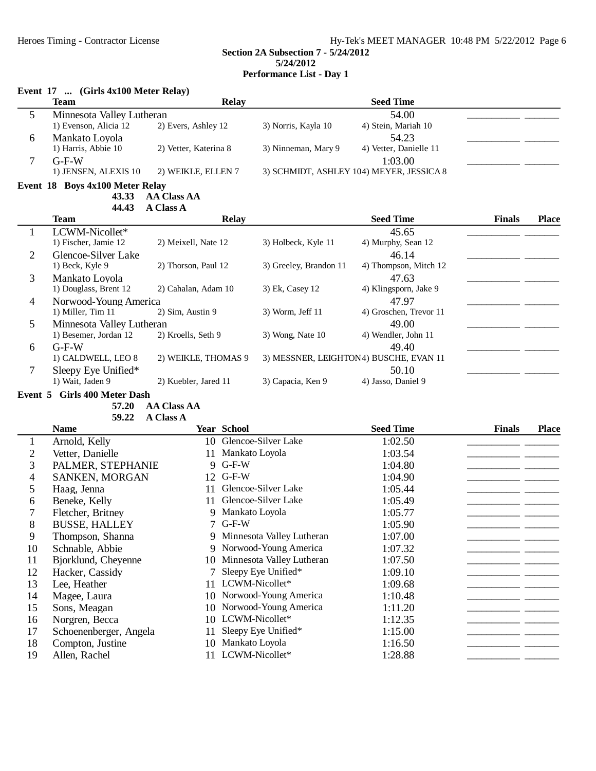## **Event 17 ... (Girls 4x100 Meter Relay)**

|   | <b>Team</b>               | Relay                 |                     | <b>Seed Time</b>                         |  |
|---|---------------------------|-----------------------|---------------------|------------------------------------------|--|
|   | Minnesota Valley Lutheran |                       |                     | 54.00                                    |  |
|   | 1) Evenson, Alicia 12     | 2) Evers, Ashley 12   | 3) Norris, Kayla 10 | 4) Stein, Mariah 10                      |  |
| n | Mankato Loyola            |                       |                     | 54.23                                    |  |
|   | 1) Harris, Abbie 10       | 2) Vetter, Katerina 8 | 3) Ninneman, Mary 9 | 4) Vetter, Danielle 11                   |  |
|   | $G-F-W$                   |                       |                     | 1:03.00                                  |  |
|   | 1) JENSEN, ALEXIS 10      | 2) WEIKLE, ELLEN 7    |                     | 3) SCHMIDT, ASHLEY 104) MEYER, JESSICA 8 |  |

## **Event 18 Boys 4x100 Meter Relay**

**43.33 AA Class AA** 

| 44.43                 | A Class A            |                                                    |                        |                                        |              |
|-----------------------|----------------------|----------------------------------------------------|------------------------|----------------------------------------|--------------|
| <b>Team</b>           | <b>Relay</b>         |                                                    | <b>Seed Time</b>       | <b>Finals</b>                          | <b>Place</b> |
| LCWM-Nicollet*        |                      |                                                    | 45.65                  |                                        |              |
| 1) Fischer, Jamie 12  | 2) Meixell, Nate 12  | 3) Holbeck, Kyle 11                                | 4) Murphy, Sean 12     |                                        |              |
| Glencoe-Silver Lake   |                      |                                                    | 46.14                  |                                        |              |
| 1) Beck, Kyle 9       | 2) Thorson, Paul 12  | 3) Greeley, Brandon 11                             | 4) Thompson, Mitch 12  |                                        |              |
| Mankato Loyola        |                      |                                                    | 47.63                  |                                        |              |
| 1) Douglass, Brent 12 | 2) Cahalan, Adam 10  | 3) Ek, Casey 12                                    | 4) Klingsporn, Jake 9  |                                        |              |
|                       |                      |                                                    | 47.97                  |                                        |              |
| 1) Miller, Tim 11     | 2) Sim, Austin 9     | $3)$ Worm, Jeff 11                                 | 4) Groschen, Trevor 11 |                                        |              |
|                       |                      |                                                    | 49.00                  |                                        |              |
| 1) Besemer, Jordan 12 | 2) Kroells, Seth 9   | $3)$ Wong, Nate 10                                 | 4) Wendler, John 11    |                                        |              |
| $G-F-W$               |                      |                                                    | 49.40                  |                                        |              |
| 1) CALDWELL, LEO 8    | 2) WEIKLE, THOMAS 9  |                                                    |                        |                                        |              |
| Sleepy Eye Unified*   |                      |                                                    | 50.10                  |                                        |              |
| 1) Wait, Jaden 9      | 2) Kuebler, Jared 11 | 3) Capacia, Ken 9                                  | 4) Jasso, Daniel 9     |                                        |              |
|                       |                      | Norwood-Young America<br>Minnesota Valley Lutheran |                        | 3) MESSNER, LEIGHTON4) BUSCHE, EVAN 11 |              |

**Event 5 Girls 400 Meter Dash**

## 57.20 **AA Class AA**

59.22 A Class A

|    | <b>Name</b>            |    | <b>Year School</b>          | <b>Seed Time</b> | <b>Finals</b> | <b>Place</b> |
|----|------------------------|----|-----------------------------|------------------|---------------|--------------|
|    | Arnold, Kelly          |    | 10 Glencoe-Silver Lake      | 1:02.50          |               |              |
| 2  | Vetter, Danielle       | 11 | Mankato Loyola              | 1:03.54          |               |              |
| 3  | PALMER, STEPHANIE      |    | 9 G-F-W                     | 1:04.80          |               |              |
| 4  | SANKEN, MORGAN         | 12 | $G-F-W$                     | 1:04.90          |               |              |
| 5  | Haag, Jenna            | 11 | Glencoe-Silver Lake         | 1:05.44          |               |              |
| 6  | Beneke, Kelly          | 11 | Glencoe-Silver Lake         | 1:05.49          |               |              |
|    | Fletcher, Britney      |    | 9 Mankato Loyola            | 1:05.77          |               |              |
| 8  | <b>BUSSE, HALLEY</b>   |    | 7 G-F-W                     | 1:05.90          |               |              |
| 9  | Thompson, Shanna       |    | 9 Minnesota Valley Lutheran | 1:07.00          |               |              |
| 10 | Schnable, Abbie        |    | 9 Norwood-Young America     | 1:07.32          |               |              |
| 11 | Bjorklund, Cheyenne    | 10 | Minnesota Valley Lutheran   | 1:07.50          |               |              |
| 12 | Hacker, Cassidy        |    | Sleepy Eye Unified*         | 1:09.10          |               |              |
| 13 | Lee, Heather           |    | 11 LCWM-Nicollet*           | 1:09.68          |               |              |
| 14 | Magee, Laura           | 10 | Norwood-Young America       | 1:10.48          |               |              |
| 15 | Sons, Meagan           | 10 | Norwood-Young America       | 1:11.20          |               |              |
| 16 | Norgren, Becca         | 10 | LCWM-Nicollet*              | 1:12.35          |               |              |
| 17 | Schoenenberger, Angela | 11 | Sleepy Eye Unified*         | 1:15.00          |               |              |
| 18 | Compton, Justine       | 10 | Mankato Loyola              | 1:16.50          |               |              |
| 19 | Allen, Rachel          | 11 | LCWM-Nicollet*              | 1:28.88          |               |              |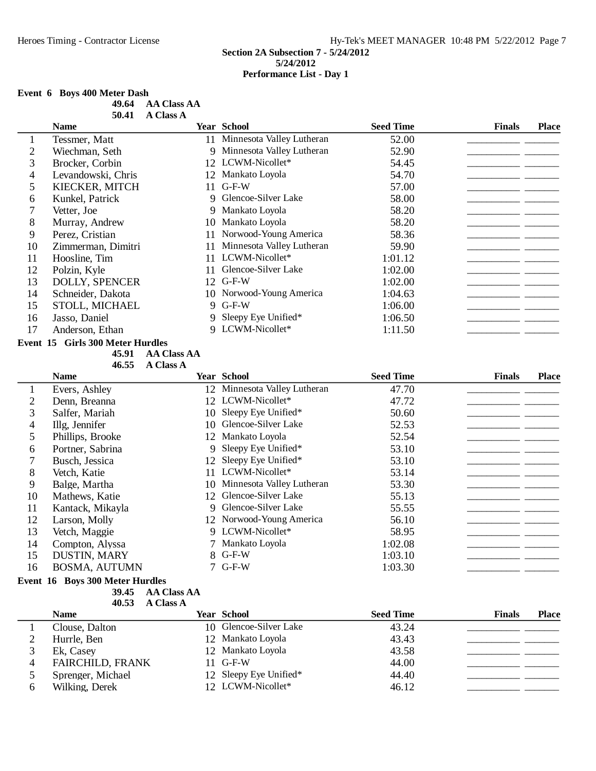## **Event 6 Boys 400 Meter Dash**

| 49.64 | <b>AA Class AA</b> |
|-------|--------------------|
| 50.41 | <b>A Class A</b>   |

|    | <b>Name</b>           |     | <b>Year School</b>           | <b>Seed Time</b> | <b>Finals</b> | <b>Place</b> |
|----|-----------------------|-----|------------------------------|------------------|---------------|--------------|
|    | Tessmer, Matt         |     | 11 Minnesota Valley Lutheran | 52.00            |               |              |
|    | Wiechman, Seth        | 9   | Minnesota Valley Lutheran    | 52.90            |               |              |
| 3  | Brocker, Corbin       |     | 12 LCWM-Nicollet*            | 54.45            |               |              |
| 4  | Levandowski, Chris    |     | 12 Mankato Loyola            | 54.70            |               |              |
|    | KIECKER, MITCH        | 11. | $G-F-W$                      | 57.00            |               |              |
| 6  | Kunkel, Patrick       | 9   | Glencoe-Silver Lake          | 58.00            |               |              |
|    | Vetter, Joe           |     | 9 Mankato Loyola             | 58.20            |               |              |
| 8  | Murray, Andrew        |     | 10 Mankato Loyola            | 58.20            |               |              |
| 9  | Perez, Cristian       | 11  | Norwood-Young America        | 58.36            |               |              |
| 10 | Zimmerman, Dimitri    | 11  | Minnesota Valley Lutheran    | 59.90            |               |              |
| 11 | Hoosline, Tim         | 11  | LCWM-Nicollet*               | 1:01.12          |               |              |
| 12 | Polzin, Kyle          |     | Glencoe-Silver Lake          | 1:02.00          |               |              |
| 13 | <b>DOLLY, SPENCER</b> |     | 12 G-F-W                     | 1:02.00          |               |              |
| 14 | Schneider, Dakota     |     | 10 Norwood-Young America     | 1:04.63          |               |              |
| 15 | STOLL, MICHAEL        |     | 9 G-F-W                      | 1:06.00          |               |              |
| 16 | Jasso, Daniel         |     | 9 Sleepy Eye Unified*        | 1:06.50          |               |              |
| 17 | Anderson, Ethan       |     | 9 LCWM-Nicollet*             | 1:11.50          |               |              |

## **Event 15 Girls 300 Meter Hurdles**

**45.91 • AA Class AA** 

| 46.55 | <b>A Class A</b> |
|-------|------------------|
|-------|------------------|

|    | <b>Name</b>          |    | Year School                  | <b>Seed Time</b> | <b>Finals</b> | <b>Place</b> |
|----|----------------------|----|------------------------------|------------------|---------------|--------------|
|    | Evers, Ashley        |    | 12 Minnesota Valley Lutheran | 47.70            |               |              |
| 2  | Denn, Breanna        |    | 12 LCWM-Nicollet*            | 47.72            |               |              |
| 3  | Salfer, Mariah       | 10 | Sleepy Eye Unified*          | 50.60            |               |              |
| 4  | Illg, Jennifer       | 10 | Glencoe-Silver Lake          | 52.53            |               |              |
| 5  | Phillips, Brooke     |    | 12 Mankato Loyola            | 52.54            |               |              |
| 6  | Portner, Sabrina     |    | 9 Sleepy Eye Unified*        | 53.10            |               |              |
|    | Busch, Jessica       | 12 | Sleepy Eye Unified*          | 53.10            |               |              |
| 8  | Vetch, Katie         |    | 11 LCWM-Nicollet*            | 53.14            |               |              |
| 9  | Balge, Martha        | 10 | Minnesota Valley Lutheran    | 53.30            |               |              |
| 10 | Mathews, Katie       | 12 | Glencoe-Silver Lake          | 55.13            |               |              |
| 11 | Kantack, Mikayla     |    | 9 Glencoe-Silver Lake        | 55.55            |               |              |
| 12 | Larson, Molly        |    | 12 Norwood-Young America     | 56.10            |               |              |
| 13 | Vetch, Maggie        |    | 9 LCWM-Nicollet*             | 58.95            |               |              |
| 14 | Compton, Alyssa      |    | 7 Mankato Loyola             | 1:02.08          |               |              |
| 15 | DUSTIN, MARY         |    | $8$ G-F-W                    | 1:03.10          |               |              |
| 16 | <b>BOSMA, AUTUMN</b> |    | $7$ G-F-W                    | 1:03.30          |               |              |

## **Event 16 Boys 300 Meter Hurdles**

**39.45 AA Class AA**

|    | 40.53<br><b>A Class A</b> |                        |                  |               |              |
|----|---------------------------|------------------------|------------------|---------------|--------------|
|    | <b>Name</b>               | <b>Year School</b>     | <b>Seed Time</b> | <b>Finals</b> | <b>Place</b> |
|    | Clouse, Dalton            | 10 Glencoe-Silver Lake | 43.24            |               |              |
|    | Hurrle, Ben               | 12 Mankato Loyola      | 43.43            |               |              |
|    | Ek, Casey                 | 12 Mankato Loyola      | 43.58            |               |              |
| 4  | <b>FAIRCHILD, FRANK</b>   | $11$ G-F-W             | 44.00            |               |              |
|    | Sprenger, Michael         | 12 Sleepy Eye Unified* | 44.40            |               |              |
| h. | Wilking, Derek            | 12 LCWM-Nicollet*      | 46.12            |               |              |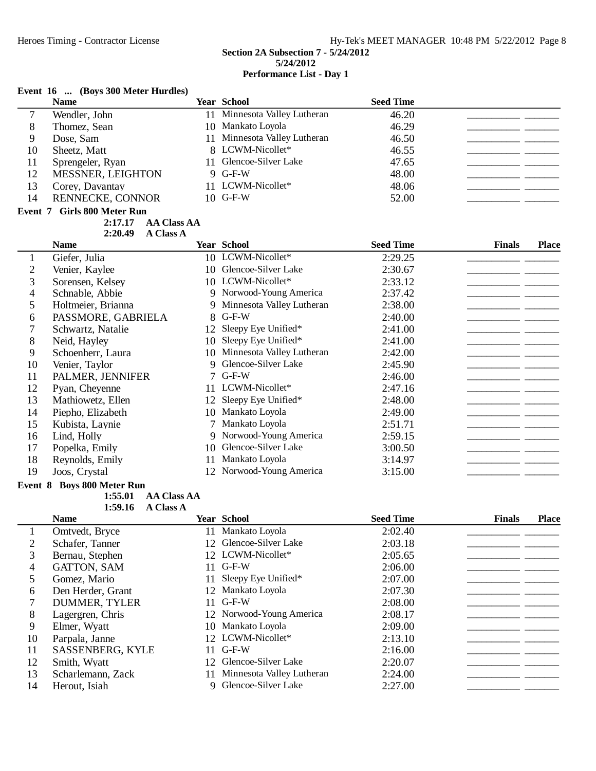#### **Event 16 ... (Boys 300 Meter Hurdles)**

|         | (200, 000, 000, 000)<br><b>Name</b>                          |    | <b>Year School</b>        | <b>Seed Time</b> |                               |
|---------|--------------------------------------------------------------|----|---------------------------|------------------|-------------------------------|
| 7       | Wendler, John                                                | 11 | Minnesota Valley Lutheran | 46.20            |                               |
| 8       | Thomez, Sean                                                 | 10 | Mankato Loyola            | 46.29            |                               |
| 9       | Dose, Sam                                                    | 11 | Minnesota Valley Lutheran | 46.50            |                               |
| 10      | Sheetz, Matt                                                 | 8  | LCWM-Nicollet*            | 46.55            |                               |
| 11      | Sprengeler, Ryan                                             | 11 | Glencoe-Silver Lake       | 47.65            |                               |
| 12      | <b>MESSNER, LEIGHTON</b>                                     |    | 9 G-F-W                   | 48.00            |                               |
| 13      | Corey, Davantay                                              |    | 11 LCWM-Nicollet*         | 48.06            |                               |
| 14      | RENNECKE, CONNOR                                             |    | 10 G-F-W                  | 52.00            |                               |
| Event 7 | <b>Girls 800 Meter Run</b>                                   |    |                           |                  |                               |
|         | <b>AA Class AA</b><br>2:17.17<br><b>A Class A</b><br>2:20.49 |    |                           |                  |                               |
|         | <b>Name</b>                                                  |    | <b>Year School</b>        | <b>Seed Time</b> | <b>Finals</b><br><b>Place</b> |
| 1       | Giefer, Julia                                                |    | 10 LCWM-Nicollet*         | 2:29.25          |                               |
| 2       | Venier, Kaylee                                               | 10 | Glencoe-Silver Lake       | 2:30.67          |                               |
| 3       | Sorensen, Kelsey                                             |    | 10 LCWM-Nicollet*         | 2:33.12          |                               |
| 4       | Schnable, Abbie                                              | 9  | Norwood-Young America     | 2:37.42          |                               |
| 5       | Holtmeier, Brianna                                           | 9  | Minnesota Valley Lutheran | 2:38.00          |                               |
| 6       | PASSMORE, GABRIELA                                           | 8  | $G-F-W$                   | 2:40.00          |                               |
|         | Schwartz, Natalie                                            | 12 | Sleepy Eye Unified*       | 2:41.00          |                               |
| 8       | Neid, Hayley                                                 | 10 | Sleepy Eye Unified*       | 2:41.00          |                               |
| 9       | Schoenherr, Laura                                            | 10 | Minnesota Valley Lutheran | 2:42.00          |                               |
| 10      | Venier, Taylor                                               | 9  | Glencoe-Silver Lake       | 2:45.90          |                               |
| 11      | PALMER, JENNIFER                                             |    | 7 G-F-W                   | 2:46.00          |                               |
| 12      | $D_{V2n}$ Chevenne                                           |    | 11 I CWM-Nicollet*        | 2.4716           |                               |

| 11 | PALMER, JENNIFER  | $7$ G-F-W                | 2:46.00 |  |
|----|-------------------|--------------------------|---------|--|
| 12 | Pyan, Cheyenne    | 11 LCWM-Nicollet*        | 2:47.16 |  |
| 13 | Mathiowetz, Ellen | 12 Sleepy Eye Unified*   | 2:48.00 |  |
| 14 | Piepho, Elizabeth | 10 Mankato Loyola        | 2:49.00 |  |
| 15 | Kubista, Laynie   | 7 Mankato Loyola         | 2:51.71 |  |
| 16 | Lind, Holly       | 9 Norwood-Young America  | 2:59.15 |  |
| 17 | Popelka, Emily    | 10 Glencoe-Silver Lake   | 3:00.50 |  |
| 18 | Reynolds, Emily   | 11 Mankato Loyola        | 3:14.97 |  |
| 19 | Joos, Crystal     | 12 Norwood-Young America | 3:15.00 |  |
|    |                   |                          |         |  |

## **Event 8 Boys 800 Meter Run**

**1:55.01 AA Class AA A Class A** 

**Name Year School Seed Time Finals Place** 1 Omtvedt, Bryce 11 Mankato Loyola 2:02.40 Schafer, Tanner 12 Glencoe-Silver Lake 2:03.18 \_\_\_\_\_\_\_\_\_\_\_\_\_\_\_\_\_\_\_\_ Bernau, Stephen 12 LCWM-Nicollet\* 2:05.65 \_\_\_\_\_\_\_\_\_\_\_\_\_\_\_\_\_\_\_\_ GATTON, SAM 11 G-F-W 2:06.00 \_\_\_\_\_\_\_\_\_\_\_\_\_\_\_\_\_\_\_\_ Gomez, Mario 11 Sleepy Eye Unified\* 2:07.00 \_\_\_\_\_\_\_\_\_\_\_\_\_\_\_\_\_\_\_\_ 6 Den Herder, Grant 12 Mankato Loyola 2:07.30<br>
7 DUMMER, TYLER 11 G-F-W 2:08.00 DUMMER, TYLER 11 G-F-W 2:08.00 \_\_\_\_\_\_\_\_\_\_\_\_\_\_\_\_\_\_\_\_ 8 Lagergren, Chris 12 Norwood-Young America<br>9 Elmer. Wyatt 10 Mankato Loyola Elmer, Wyatt 10 Mankato Loyola 2:09.00 \_\_\_\_\_\_\_\_\_\_\_\_\_\_\_\_\_\_\_\_ Parpala, Janne 12 LCWM-Nicollet\* 2:13.10 \_\_\_\_\_\_\_\_\_\_\_\_\_\_\_\_\_\_\_\_ 11 SASSENBERG, KYLE 11 G-F-W 2:16.00 12 Smith, Wyatt 12 Glencoe-Silver Lake 2:20.07 \_\_\_\_\_\_\_\_\_\_\_\_\_\_\_\_\_\_\_\_\_\_\_\_\_\_\_\_\_\_\_\_\_ Scharlemann, Zack 11 Minnesota Valley Lutheran 2:24.00 \_\_\_\_\_\_\_\_\_\_\_\_\_\_\_\_\_\_\_\_ 9 Glencoe-Silver Lake 2:27.00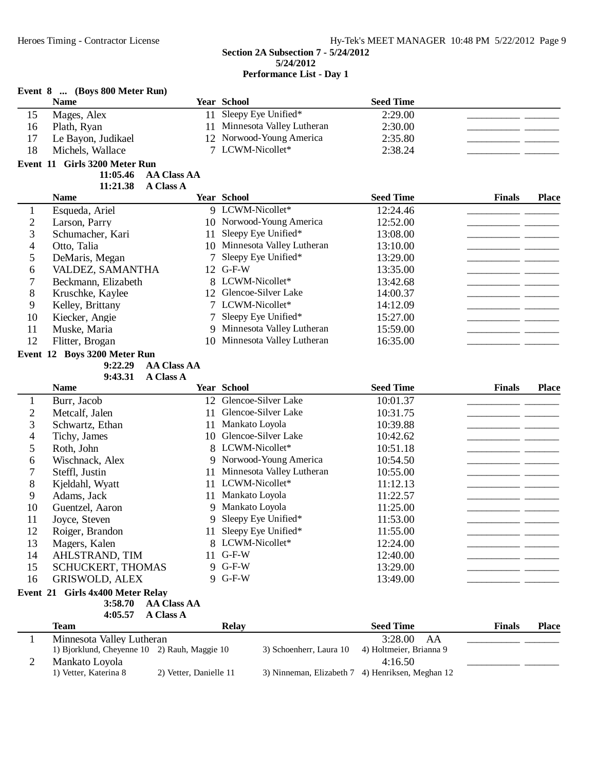|                                | Event 8  (Boys 800 Meter Run)<br><b>Name</b> |                        | <b>Year School</b>                                    | <b>Seed Time</b>                                            |               |              |
|--------------------------------|----------------------------------------------|------------------------|-------------------------------------------------------|-------------------------------------------------------------|---------------|--------------|
|                                |                                              |                        | 11 Sleepy Eye Unified*                                |                                                             |               |              |
| 15                             | Mages, Alex                                  |                        |                                                       | 2:29.00                                                     |               |              |
| 16                             | Plath, Ryan                                  | 11                     | Minnesota Valley Lutheran<br>12 Norwood-Young America | 2:30.00                                                     |               |              |
| 17                             | Le Bayon, Judikael                           |                        | 7 LCWM-Nicollet*                                      | 2:35.80                                                     |               |              |
| 18                             | Michels, Wallace                             |                        |                                                       | 2:38.24                                                     |               |              |
|                                | Event 11 Girls 3200 Meter Run                |                        |                                                       |                                                             |               |              |
|                                | 11:05.46                                     | <b>AA Class AA</b>     |                                                       |                                                             |               |              |
|                                | 11:21.38<br><b>Name</b>                      | <b>A Class A</b>       | <b>Year School</b>                                    | <b>Seed Time</b>                                            | <b>Finals</b> | <b>Place</b> |
|                                |                                              |                        | 9 LCWM-Nicollet*                                      | 12:24.46                                                    |               |              |
| $\mathbf{1}$<br>$\overline{2}$ | Esqueda, Ariel                               |                        | 10 Norwood-Young America                              | 12:52.00                                                    |               |              |
| 3                              | Larson, Parry<br>Schumacher, Kari            |                        | Sleepy Eye Unified*                                   |                                                             |               |              |
|                                |                                              | 11                     | 10 Minnesota Valley Lutheran                          | 13:08.00                                                    |               |              |
| 4                              | Otto, Talia                                  |                        |                                                       | 13:10.00                                                    |               |              |
| 5                              | DeMaris, Megan                               | 7                      | Sleepy Eye Unified*<br>12 G-F-W                       | 13:29.00                                                    |               |              |
| 6                              | VALDEZ, SAMANTHA                             |                        | 8 LCWM-Nicollet*                                      | 13:35.00                                                    |               |              |
| $\overline{7}$                 | Beckmann, Elizabeth                          |                        | 12 Glencoe-Silver Lake                                | 13:42.68                                                    |               |              |
| 8                              | Kruschke, Kaylee                             |                        |                                                       | 14:00.37                                                    |               |              |
| 9                              | Kelley, Brittany                             |                        | 7 LCWM-Nicollet*                                      | 14:12.09                                                    |               |              |
| 10                             | Kiecker, Angie                               | 7                      | Sleepy Eye Unified*                                   | 15:27.00                                                    |               |              |
| 11                             | Muske, Maria                                 | 9                      | Minnesota Valley Lutheran                             | 15:59.00                                                    |               |              |
| 12                             | Flitter, Brogan                              | 10                     | Minnesota Valley Lutheran                             | 16:35.00                                                    |               |              |
|                                | Event 12 Boys 3200 Meter Run                 |                        |                                                       |                                                             |               |              |
|                                | 9:22.29                                      | <b>AA Class AA</b>     |                                                       |                                                             |               |              |
|                                | 9:43.31<br><b>Name</b>                       | <b>A Class A</b>       | <b>Year School</b>                                    | <b>Seed Time</b>                                            | <b>Finals</b> | Place        |
|                                |                                              |                        | 12 Glencoe-Silver Lake                                |                                                             |               |              |
| $\mathbf{1}$                   | Burr, Jacob                                  |                        | Glencoe-Silver Lake                                   | 10:01.37                                                    |               |              |
| $\mathbf{2}$                   | Metcalf, Jalen                               | 11                     |                                                       | 10:31.75                                                    |               |              |
| 3                              | Schwartz, Ethan                              | 11                     | Mankato Loyola<br>10 Glencoe-Silver Lake              | 10:39.88                                                    |               |              |
| 4                              | Tichy, James                                 |                        | LCWM-Nicollet*                                        | 10:42.62                                                    |               |              |
| 5                              | Roth, John                                   | 8                      |                                                       | 10:51.18                                                    |               |              |
| 6                              | Wischnack, Alex                              | 9                      | Norwood-Young America                                 | 10:54.50                                                    |               |              |
| $\tau$                         | Steffl, Justin                               | 11                     | Minnesota Valley Lutheran                             | 10:55.00                                                    |               |              |
| 8                              | Kjeldahl, Wyatt                              |                        | 11 LCWM-Nicollet*                                     | 11:12.13                                                    |               |              |
| 9                              | Adams, Jack                                  |                        | 11 Mankato Loyola                                     | 11:22.57                                                    |               |              |
| 10                             | Guentzel, Aaron                              |                        | 9 Mankato Loyola                                      | 11:25.00                                                    |               |              |
| 11                             | Joyce, Steven                                |                        | 9 Sleepy Eye Unified*                                 | 11:53.00                                                    |               |              |
| 12                             | Roiger, Brandon                              |                        | 11 Sleepy Eye Unified*                                | 11:55.00                                                    |               |              |
| 13                             | Magers, Kalen                                |                        | 8 LCWM-Nicollet*                                      | 12:24.00                                                    |               |              |
| 14                             | AHLSTRAND, TIM                               | 11                     | $G-F-W$                                               | 12:40.00                                                    |               |              |
| 15                             | SCHUCKERT, THOMAS                            |                        | 9 G-F-W                                               | 13:29.00                                                    |               |              |
| 16                             | <b>GRISWOLD, ALEX</b>                        |                        | 9 G-F-W                                               | 13:49.00                                                    |               |              |
|                                | Event 21 Girls 4x400 Meter Relay             |                        |                                                       |                                                             |               |              |
|                                | 3:58.70                                      | <b>AA Class AA</b>     |                                                       |                                                             |               |              |
|                                | 4:05.57                                      | <b>A Class A</b>       |                                                       |                                                             |               |              |
|                                | <b>Team</b>                                  |                        | <b>Relay</b>                                          | <b>Seed Time</b>                                            | <b>Finals</b> | <b>Place</b> |
| 1                              | Minnesota Valley Lutheran                    |                        |                                                       | 3:28.00<br>AA                                               |               |              |
|                                | 1) Bjorklund, Cheyenne 10 2) Rauh, Maggie 10 |                        | 3) Schoenherr, Laura 10                               | 4) Holtmeier, Brianna 9                                     |               |              |
| $\overline{2}$                 | Mankato Loyola<br>1) Vetter, Katerina 8      | 2) Vetter, Danielle 11 |                                                       | 4:16.50<br>3) Ninneman, Elizabeth 7 4) Henriksen, Meghan 12 |               |              |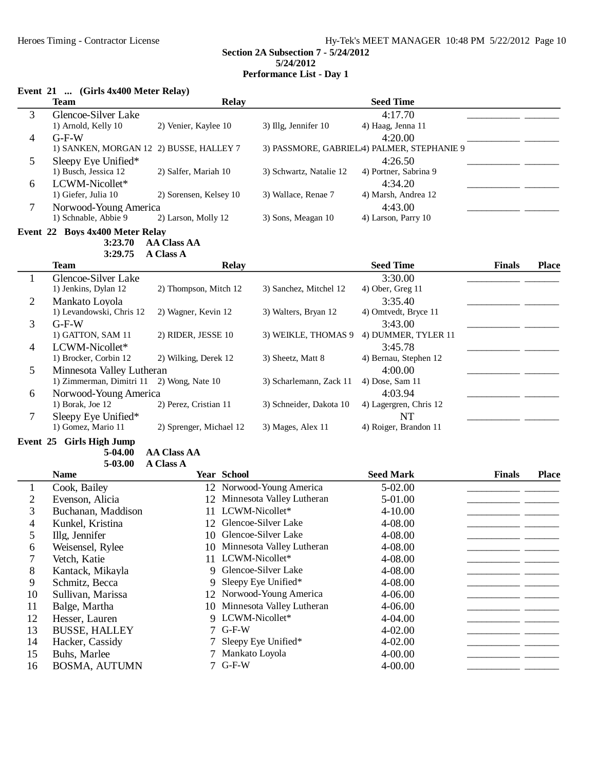**5/24/2012**

**Performance List - Day 1**

|  |  | Event 21  (Girls 4x400 Meter Relay) |  |  |
|--|--|-------------------------------------|--|--|
|--|--|-------------------------------------|--|--|

|                | <b>Team</b>                             | <b>Relay</b>            |                              | <b>Seed Time</b>                           |               |              |
|----------------|-----------------------------------------|-------------------------|------------------------------|--------------------------------------------|---------------|--------------|
| 3              | Glencoe-Silver Lake                     |                         |                              | 4:17.70                                    |               |              |
|                | 1) Arnold, Kelly 10                     | 2) Venier, Kaylee 10    | 3) Illg, Jennifer 10         | 4) Haag, Jenna 11                          |               |              |
| 4              | $G-F-W$                                 |                         |                              | 4:20.00                                    |               |              |
|                | 1) SANKEN, MORGAN 12 2) BUSSE, HALLEY 7 |                         |                              | 3) PASSMORE, GABRIELA) PALMER, STEPHANIE 9 |               |              |
| 5              | Sleepy Eye Unified*                     |                         |                              | 4:26.50                                    |               |              |
|                | 1) Busch, Jessica 12                    | 2) Salfer, Mariah 10    | 3) Schwartz, Natalie 12      | 4) Portner, Sabrina 9                      |               |              |
| 6              | LCWM-Nicollet*                          |                         |                              | 4:34.20                                    |               |              |
|                | 1) Giefer, Julia 10                     | 2) Sorensen, Kelsey 10  | 3) Wallace, Renae 7          | 4) Marsh, Andrea 12                        |               |              |
| 7              | Norwood-Young America                   |                         |                              | 4:43.00                                    |               |              |
|                | 1) Schnable, Abbie 9                    | 2) Larson, Molly 12     | 3) Sons, Meagan 10           | 4) Larson, Parry 10                        |               |              |
|                | Event 22 Boys 4x400 Meter Relay         |                         |                              |                                            |               |              |
|                | 3:23.70                                 | <b>AA Class AA</b>      |                              |                                            |               |              |
|                | 3:29.75                                 | A Class A               |                              |                                            |               |              |
|                | <b>Team</b>                             | <b>Relay</b>            |                              | <b>Seed Time</b>                           | <b>Finals</b> | <b>Place</b> |
| $\mathbf{1}$   | Glencoe-Silver Lake                     |                         |                              | 3:30.00                                    |               |              |
|                | 1) Jenkins, Dylan 12                    | 2) Thompson, Mitch 12   | 3) Sanchez, Mitchel 12       | 4) Ober, Greg 11                           |               |              |
| $\overline{2}$ | Mankato Loyola                          |                         |                              | 3:35.40                                    |               |              |
|                | 1) Levandowski, Chris 12                | 2) Wagner, Kevin 12     | 3) Walters, Bryan 12         | 4) Omtvedt, Bryce 11                       |               |              |
| 3              | $G-F-W$                                 |                         |                              | 3:43.00                                    |               |              |
|                | 1) GATTON, SAM 11                       | 2) RIDER, JESSE 10      | 3) WEIKLE, THOMAS 9          | 4) DUMMER, TYLER 11                        |               |              |
| 4              | LCWM-Nicollet*                          |                         |                              | 3:45.78                                    |               |              |
|                | 1) Brocker, Corbin 12                   | 2) Wilking, Derek 12    | 3) Sheetz, Matt 8            | 4) Bernau, Stephen 12                      |               |              |
| 5              | Minnesota Valley Lutheran               |                         |                              | 4:00.00                                    |               |              |
|                | 1) Zimmerman, Dimitri 11                | 2) Wong, Nate 10        | 3) Scharlemann, Zack 11      | 4) Dose, Sam 11                            |               |              |
| 6              | Norwood-Young America                   |                         |                              | 4:03.94                                    |               |              |
|                | 1) Borak, Joe 12                        | 2) Perez, Cristian 11   | 3) Schneider, Dakota 10      | 4) Lagergren, Chris 12                     |               |              |
| 7              | Sleepy Eye Unified*                     |                         |                              | <b>NT</b>                                  |               |              |
|                | 1) Gomez, Mario 11                      | 2) Sprenger, Michael 12 | 3) Mages, Alex 11            | 4) Roiger, Brandon 11                      |               |              |
|                | Event 25 Girls High Jump                |                         |                              |                                            |               |              |
|                | 5-04.00                                 | <b>AA Class AA</b>      |                              |                                            |               |              |
|                | 5-03.00                                 | <b>A Class A</b>        |                              |                                            |               |              |
|                | <b>Name</b>                             | Year School             |                              | <b>Seed Mark</b>                           | <b>Finals</b> | <b>Place</b> |
| $\mathbf{1}$   | Cook, Bailey                            |                         | 12 Norwood-Young America     | 5-02.00                                    |               |              |
| $\overline{c}$ | Evenson, Alicia                         | 12                      | Minnesota Valley Lutheran    | 5-01.00                                    |               |              |
| 3              | Buchanan, Maddison                      | 11 LCWM-Nicollet*       |                              | 4-10.00                                    |               |              |
| 4              | Kunkel, Kristina                        | 12 Glencoe-Silver Lake  |                              | 4-08.00                                    |               |              |
| 5              | Illg, Jennifer                          | 10 Glencoe-Silver Lake  |                              | 4-08.00                                    |               |              |
| 6              | Weisensel, Rylee                        |                         | 10 Minnesota Valley Lutheran | 4-08.00                                    |               |              |
| 7              | Vetch, Katie                            | 11 LCWM-Nicollet*       |                              | 4-08.00                                    |               |              |
| 8              | Kantack, Mikayla                        | 9                       | Glencoe-Silver Lake          | 4-08.00                                    |               |              |
| 9              | Schmitz, Becca                          | 9                       | Sleepy Eye Unified*          | 4-08.00                                    |               |              |
| 10             | Sullivan, Marissa                       |                         | 12 Norwood-Young America     | 4-06.00                                    |               |              |
| 11             | Balge, Martha                           | 10                      | Minnesota Valley Lutheran    | 4-06.00                                    |               |              |
| 12             | Hesser, Lauren                          | 9 LCWM-Nicollet*        |                              | 4-04.00                                    |               |              |
| 13             | <b>BUSSE, HALLEY</b>                    | $G-F-W$<br>7            |                              | 4-02.00                                    |               |              |
| 14             | Hacker, Cassidy                         |                         | Sleepy Eye Unified*          | 4-02.00                                    |               |              |
| 15             | Buhs, Marlee                            | Mankato Loyola          |                              | 4-00.00                                    |               |              |
| 16             | <b>BOSMA, AUTUMN</b>                    | 7 G-F-W                 |                              | 4-00.00                                    |               |              |
|                |                                         |                         |                              |                                            |               |              |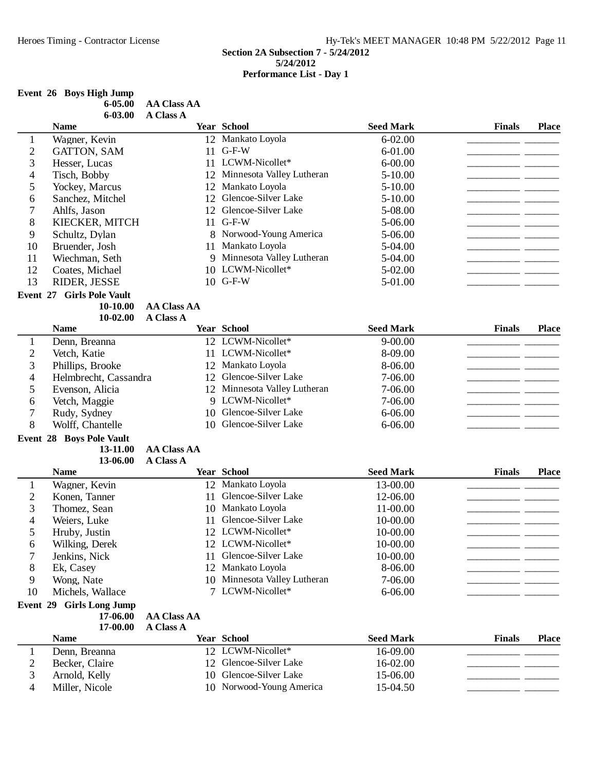## **Event 26 Boys High Jump**

**Event 29 Girls Long Jump**<br>17-06.00

|                | $6 - 05.00$<br>$6 - 03.00$ | <b>AA Class AA</b><br><b>A Class A</b> |                              |                  |               |              |
|----------------|----------------------------|----------------------------------------|------------------------------|------------------|---------------|--------------|
|                | <b>Name</b>                |                                        | <b>Year School</b>           | <b>Seed Mark</b> | <b>Finals</b> | <b>Place</b> |
|                | Wagner, Kevin              |                                        | 12 Mankato Loyola            | $6 - 02.00$      |               |              |
| 2              | GATTON, SAM                |                                        | $11$ G-F-W                   | 6-01.00          |               |              |
| 3              | Hesser, Lucas              |                                        | 11 LCWM-Nicollet*            | $6 - 00.00$      |               |              |
| 4              | Tisch, Bobby               |                                        | 12 Minnesota Valley Lutheran | $5 - 10.00$      |               |              |
| 5              | Yockey, Marcus             |                                        | 12 Mankato Loyola            | $5 - 10.00$      |               |              |
| 6              | Sanchez, Mitchel           |                                        | 12 Glencoe-Silver Lake       | $5 - 10.00$      |               |              |
| $\overline{7}$ | Ahlfs, Jason               |                                        | 12 Glencoe-Silver Lake       | 5-08.00          |               |              |
| 8              | KIECKER, MITCH             |                                        | $11$ G-F-W                   | 5-06.00          |               |              |
| 9              | Schultz, Dylan             |                                        | 8 Norwood-Young America      | 5-06.00          |               |              |

| 4              | Tisch, Bobby                    |                    | 12 Minnesota Valley Lutheran | 5-10.00          |               |              |
|----------------|---------------------------------|--------------------|------------------------------|------------------|---------------|--------------|
| 5              | Yockey, Marcus                  | 12                 | Mankato Loyola               | $5 - 10.00$      |               |              |
| 6              | Sanchez, Mitchel                | 12                 | Glencoe-Silver Lake          | $5 - 10.00$      |               |              |
| 7              | Ahlfs, Jason                    | 12                 | Glencoe-Silver Lake          | 5-08.00          |               |              |
| 8              | KIECKER, MITCH                  | 11                 | $G-F-W$                      | 5-06.00          |               |              |
| 9              | Schultz, Dylan                  | 8                  | Norwood-Young America        | 5-06.00          |               |              |
| 10             | Bruender, Josh                  | 11                 | Mankato Loyola               | 5-04.00          |               |              |
| 11             | Wiechman, Seth                  | 9                  | Minnesota Valley Lutheran    | 5-04.00          |               |              |
| 12             | Coates, Michael                 |                    | 10 LCWM-Nicollet*            | 5-02.00          |               |              |
| 13             | RIDER, JESSE                    |                    | 10 G-F-W                     | 5-01.00          |               |              |
| Event 27       | <b>Girls Pole Vault</b>         |                    |                              |                  |               |              |
|                | 10-10.00                        | <b>AA Class AA</b> |                              |                  |               |              |
|                | 10-02.00                        | <b>A Class A</b>   |                              |                  |               |              |
|                | <b>Name</b>                     |                    | <b>Year School</b>           | <b>Seed Mark</b> | <b>Finals</b> | <b>Place</b> |
| $\mathbf{1}$   | Denn, Breanna                   |                    | 12 LCWM-Nicollet*            | $9 - 00.00$      |               |              |
| $\overline{2}$ | Vetch, Katie                    | 11                 | LCWM-Nicollet*               | 8-09.00          |               |              |
| 3              | Phillips, Brooke                | 12                 | Mankato Loyola               | 8-06.00          |               |              |
| 4              | Helmbrecht, Cassandra           | 12                 | Glencoe-Silver Lake          | 7-06.00          |               |              |
| 5              | Evenson, Alicia                 |                    | 12 Minnesota Valley Lutheran | 7-06.00          |               |              |
| 6              | Vetch, Maggie                   |                    | 9 LCWM-Nicollet*             | 7-06.00          |               |              |
| 7              | Rudy, Sydney                    | 10                 | Glencoe-Silver Lake          | 6-06.00          |               |              |
| 8              | Wolff, Chantelle                | 10                 | Glencoe-Silver Lake          | $6 - 06.00$      |               |              |
|                | <b>Event 28 Boys Pole Vault</b> |                    |                              |                  |               |              |
|                | 13-11.00                        | <b>AA Class AA</b> |                              |                  |               |              |
|                | 13-06.00                        | <b>A Class A</b>   |                              |                  |               |              |
|                | <b>Name</b>                     |                    | <b>Year School</b>           | <b>Seed Mark</b> | <b>Finals</b> | <b>Place</b> |
| 1              | Wagner, Kevin                   | 12                 | Mankato Loyola               | 13-00.00         |               |              |
| $\overline{2}$ | Konen, Tanner                   | 11                 | Glencoe-Silver Lake          | 12-06.00         |               |              |
| 3              | Thomez, Sean                    | 10                 | Mankato Loyola               | 11-00.00         |               |              |
| 4              | Weiers, Luke                    | 11                 | Glencoe-Silver Lake          | 10-00.00         |               |              |
| 5              | Hruby, Justin                   |                    | 12 LCWM-Nicollet*            | 10-00.00         |               |              |

6 Wilking, Derek 12 LCWM-Nicollet\* 10-00.00 \_\_\_\_\_\_\_\_\_\_\_\_ 7 Jenkins, Nick 11 Glencoe-Silver Lake 10-00.00 \_\_\_\_\_\_\_\_\_\_\_\_\_\_\_\_\_\_\_\_ 8 Ek, Casey 12 Mankato Loyola 8-06.00 \_\_\_\_\_\_\_\_\_\_\_\_\_\_\_\_\_\_\_\_

2 Becker, Claire 12 Glencoe-Silver Lake 16-02.00 \_\_\_\_\_\_\_\_\_\_\_\_\_\_\_\_\_\_\_\_\_\_\_\_\_\_\_\_\_\_\_\_<br>3 Arnold, Kelly 10 Glencoe-Silver Lake 15-06.00 \_\_\_\_\_\_\_\_\_\_\_\_\_\_\_\_\_\_\_\_\_\_\_\_\_\_\_\_\_\_\_\_ 3 Arnold, Kelly 10 Glencoe-Silver Lake 15-06.00 \_\_\_\_\_\_\_\_\_\_\_\_\_\_\_\_\_\_\_\_\_\_\_\_\_\_\_\_\_\_\_\_<br>4 Miller, Nicole 10 Norwood-Young America 15-04.50 Miller, Nicole 10 Norwood-Young America 15-04.50 \_\_\_\_\_\_\_\_\_\_\_\_\_\_\_\_\_\_\_\_\_\_\_\_\_\_\_\_\_\_\_

**Name Year School Seed Mark Finals Place**

9 Wong, Nate 10 Minnesota Valley Lutheran 7-06.00<br>
10 Michels Wallace 7 LCWM-Nicollet<sup>\*</sup> 6-06.00 10 Michels, Wallace 7 LCWM-Nicollet\* 6-06.00

1 Denn, Breanna 12 LCWM-Nicollet\* 16-09.00

AA Class AA

**A Class A17-00.00**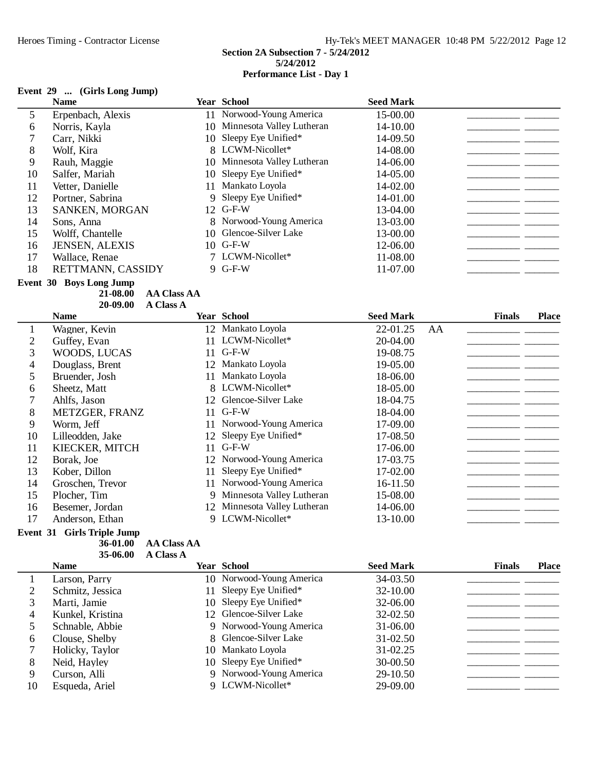# **Event 29 ... (Girls Long Jump)**

|    | <b>Name</b>             |    | <b>Year School</b>           | <b>Seed Mark</b> |  |
|----|-------------------------|----|------------------------------|------------------|--|
| 5  | Erpenbach, Alexis       |    | 11 Norwood-Young America     | 15-00.00         |  |
| 6  | Norris, Kayla           |    | 10 Minnesota Valley Lutheran | 14-10.00         |  |
|    | Carr, Nikki             |    | 10 Sleepy Eye Unified*       | 14-09.50         |  |
| 8  | Wolf, Kira              |    | 8 LCWM-Nicollet*             | 14-08.00         |  |
| 9  | Rauh, Maggie            |    | 10 Minnesota Valley Lutheran | 14-06.00         |  |
| 10 | Salfer, Mariah          |    | 10 Sleepy Eye Unified*       | 14-05.00         |  |
| 11 | Vetter, Danielle        | 11 | Mankato Loyola               | 14-02.00         |  |
| 12 | Portner, Sabrina        |    | 9 Sleepy Eye Unified*        | 14-01.00         |  |
| 13 | SANKEN, MORGAN          |    | 12 G-F-W                     | 13-04.00         |  |
| 14 | Sons, Anna              |    | 8 Norwood-Young America      | 13-03.00         |  |
| 15 | Wolff, Chantelle        | 10 | Glencoe-Silver Lake          | 13-00.00         |  |
| 16 | JENSEN, ALEXIS          |    | 10 G-F-W                     | 12-06.00         |  |
| 17 | Wallace, Renae          |    | 7 LCWM-Nicollet*             | 11-08.00         |  |
| 18 | RETTMANN, CASSIDY       |    | $9$ G-F-W                    | 11-07.00         |  |
|    | Event 30 Boys Long Jump |    |                              |                  |  |

**AA Class AA21-08.00**

|    | 20-09.00         | <b>A Class A</b> |                              |                  |    |               |              |
|----|------------------|------------------|------------------------------|------------------|----|---------------|--------------|
|    | <b>Name</b>      |                  | <b>Year School</b>           | <b>Seed Mark</b> |    | <b>Finals</b> | <b>Place</b> |
|    | Wagner, Kevin    |                  | 12 Mankato Loyola            | 22-01.25         | AA |               |              |
| 2  | Guffey, Evan     | 11               | LCWM-Nicollet*               | 20-04.00         |    |               |              |
| 3  | WOODS, LUCAS     | 11               | $G-F-W$                      | 19-08.75         |    |               |              |
| 4  | Douglass, Brent  | 12               | Mankato Loyola               | 19-05.00         |    |               |              |
| 5  | Bruender, Josh   | 11               | Mankato Loyola               | 18-06.00         |    |               |              |
| 6  | Sheetz, Matt     | 8.               | LCWM-Nicollet*               | 18-05.00         |    |               |              |
| 7  | Ahlfs, Jason     | 12               | Glencoe-Silver Lake          | 18-04.75         |    |               |              |
| 8  | METZGER, FRANZ   | 11               | $G-F-W$                      | 18-04.00         |    |               |              |
| 9  | Worm, Jeff       |                  | Norwood-Young America        | 17-09.00         |    |               |              |
| 10 | Lilleodden, Jake | 12               | Sleepy Eye Unified*          | 17-08.50         |    |               |              |
| 11 | KIECKER, MITCH   | 11               | $G-F-W$                      | 17-06.00         |    |               |              |
| 12 | Borak, Joe       | 12               | Norwood-Young America        | 17-03.75         |    |               |              |
| 13 | Kober, Dillon    | 11               | Sleepy Eye Unified*          | 17-02.00         |    |               |              |
| 14 | Groschen, Trevor | 11               | Norwood-Young America        | 16-11.50         |    |               |              |
| 15 | Plocher, Tim     | 9                | Minnesota Valley Lutheran    | 15-08.00         |    |               |              |
| 16 | Besemer, Jordan  |                  | 12 Minnesota Valley Lutheran | 14-06.00         |    |               |              |
| 17 | Anderson, Ethan  |                  | 9 LCWM-Nicollet*             | 13-10.00         |    |               |              |

## **Event 31 Girls Triple Jump**

**AA Class AA**<br>**35-06.00 A Class A** 

| 35-06.00 | <b>A Class A</b> |
|----------|------------------|
|          |                  |

|    | <b>Name</b>      | <b>Year School</b>       | <b>Seed Mark</b> | <b>Finals</b> | <b>Place</b> |
|----|------------------|--------------------------|------------------|---------------|--------------|
|    | Larson, Parry    | 10 Norwood-Young America | 34-03.50         |               |              |
|    | Schmitz, Jessica | 11 Sleepy Eye Unified*   | $32 - 10.00$     |               |              |
|    | Marti, Jamie     | 10 Sleepy Eye Unified*   | 32-06.00         |               |              |
| 4  | Kunkel, Kristina | 12 Glencoe-Silver Lake   | 32-02.50         |               |              |
|    | Schnable, Abbie  | 9 Norwood-Young America  | $31 - 06.00$     |               |              |
| 6  | Clouse, Shelby   | 8 Glencoe-Silver Lake    | $31 - 02.50$     |               |              |
|    | Holicky, Taylor  | 10 Mankato Loyola        | $31 - 02.25$     |               |              |
| 8  | Neid, Hayley     | 10 Sleepy Eye Unified*   | $30 - 00.50$     |               |              |
| 9  | Curson, Alli     | 9 Norwood-Young America  | 29-10.50         |               |              |
| 10 | Esqueda, Ariel   | 9 LCWM-Nicollet*         | 29-09.00         |               |              |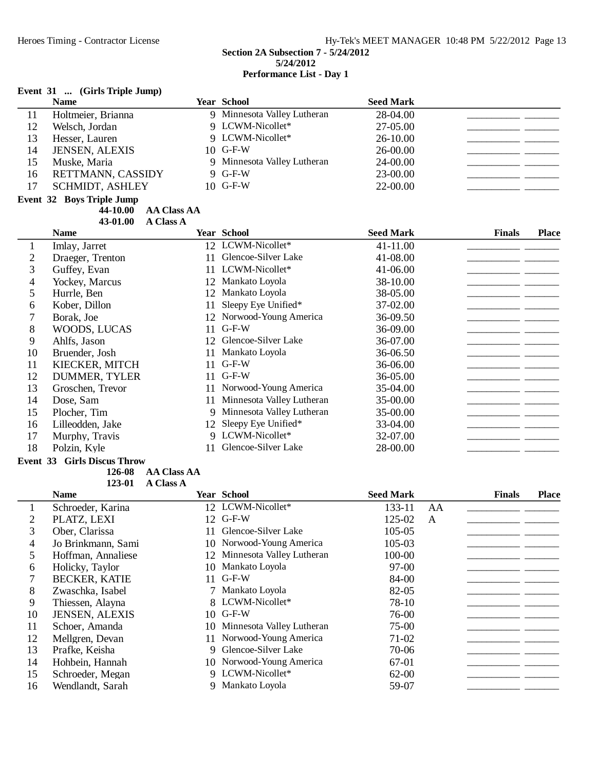|                | Event 31  (Girls Triple Jump)     |                    |                             |                  |                               |
|----------------|-----------------------------------|--------------------|-----------------------------|------------------|-------------------------------|
|                | <b>Name</b>                       |                    | <b>Year School</b>          | <b>Seed Mark</b> |                               |
| 11             | Holtmeier, Brianna                |                    | 9 Minnesota Valley Lutheran | 28-04.00         |                               |
| 12             | Welsch, Jordan                    |                    | 9 LCWM-Nicollet*            | 27-05.00         |                               |
| 13             | Hesser, Lauren                    |                    | 9 LCWM-Nicollet*            | 26-10.00         |                               |
| 14             | <b>JENSEN, ALEXIS</b>             | 10 <sup>1</sup>    | $G-F-W$                     | 26-00.00         |                               |
| 15             | Muske, Maria                      | 9                  | Minnesota Valley Lutheran   | 24-00.00         |                               |
| 16             | RETTMANN, CASSIDY                 | 9                  | $G-F-W$                     | 23-00.00         |                               |
| 17             | <b>SCHMIDT, ASHLEY</b>            | 10                 | $G-F-W$                     | 22-00.00         |                               |
|                | <b>Event 32 Boys Triple Jump</b>  |                    |                             |                  |                               |
|                | 44-10.00                          | <b>AA Class AA</b> |                             |                  |                               |
|                | 43-01.00                          | <b>A Class A</b>   |                             |                  |                               |
|                | <b>Name</b>                       |                    | <b>Year School</b>          | <b>Seed Mark</b> | <b>Finals</b><br><b>Place</b> |
| 1              | Imlay, Jarret                     |                    | 12 LCWM-Nicollet*           | 41-11.00         |                               |
| $\overline{2}$ | Draeger, Trenton                  | 11                 | Glencoe-Silver Lake         | 41-08.00         |                               |
| 3              | Guffey, Evan                      | 11                 | LCWM-Nicollet*              | 41-06.00         |                               |
| $\overline{4}$ | Yockey, Marcus                    | 12                 | Mankato Loyola              | 38-10.00         |                               |
| 5              | Hurrle, Ben                       | 12                 | Mankato Loyola              | 38-05.00         |                               |
| 6              | Kober, Dillon                     | 11                 | Sleepy Eye Unified*         | 37-02.00         |                               |
| 7              | Borak, Joe                        | 12                 | Norwood-Young America       | 36-09.50         |                               |
| 8              | WOODS, LUCAS                      | 11                 | $G-F-W$                     | 36-09.00         |                               |
| 9              | Ahlfs, Jason                      | 12                 | Glencoe-Silver Lake         | 36-07.00         |                               |
| 10             | Bruender, Josh                    | 11                 | Mankato Loyola              | 36-06.50         |                               |
| 11             | KIECKER, MITCH                    | 11                 | $G-F-W$                     | 36-06.00         |                               |
| 12             | <b>DUMMER, TYLER</b>              | 11                 | $G-F-W$                     | 36-05.00         |                               |
| 13             | Groschen, Trevor                  | 11                 | Norwood-Young America       | 35-04.00         |                               |
| 14             | Dose, Sam                         | 11                 | Minnesota Valley Lutheran   | 35-00.00         |                               |
| 15             | Plocher, Tim                      | 9                  | Minnesota Valley Lutheran   | 35-00.00         |                               |
| 16             | Lilleodden, Jake                  | 12                 | Sleepy Eye Unified*         | 33-04.00         |                               |
| 17             | Murphy, Travis                    | 9                  | LCWM-Nicollet*              | 32-07.00         |                               |
| 18             | Polzin, Kyle                      | 11                 | Glencoe-Silver Lake         | 28-00.00         |                               |
|                | $22.011 \text{ m}$<br><b>CENT</b> |                    |                             |                  |                               |

#### **Event 33 Girls Discus Throw**

**126-08 AA Class AA** 

123-01 **A Class A** 

|    | <b>Name</b>           |     | <b>Year School</b>           | <b>Seed Mark</b> |    | <b>Finals</b> | <b>Place</b> |
|----|-----------------------|-----|------------------------------|------------------|----|---------------|--------------|
|    | Schroeder, Karina     |     | 12 LCWM-Nicollet*            | 133-11           | AA |               |              |
| 2  | PLATZ, LEXI           |     | 12 G-F-W                     | 125-02           | A  |               |              |
| 3  | Ober, Clarissa        |     | Glencoe-Silver Lake          | 105-05           |    |               |              |
| 4  | Jo Brinkmann, Sami    |     | 10 Norwood-Young America     | 105-03           |    |               |              |
|    | Hoffman, Annaliese    |     | 12 Minnesota Valley Lutheran | 100-00           |    |               |              |
| 6  | Holicky, Taylor       | 10  | Mankato Loyola               | $97 - 00$        |    |               |              |
|    | <b>BECKER, KATIE</b>  | 11  | $G-F-W$                      | 84-00            |    |               |              |
| 8  | Zwaschka, Isabel      |     | 7 Mankato Loyola             | 82-05            |    |               |              |
| 9  | Thiessen, Alayna      |     | 8 LCWM-Nicollet*             | 78-10            |    |               |              |
| 10 | <b>JENSEN, ALEXIS</b> |     | $10$ G-F-W                   | 76-00            |    |               |              |
| 11 | Schoer, Amanda        | 10- | Minnesota Valley Lutheran    | $75-00$          |    |               |              |
| 12 | Mellgren, Devan       | 11  | Norwood-Young America        | $71-02$          |    |               |              |
| 13 | Prafke, Keisha        | 9.  | Glencoe-Silver Lake          | 70-06            |    |               |              |
| 14 | Hohbein, Hannah       |     | 10 Norwood-Young America     | 67-01            |    |               |              |
| 15 | Schroeder, Megan      |     | 9 LCWM-Nicollet*             | $62 - 00$        |    |               |              |
| 16 | Wendlandt, Sarah      |     | 9 Mankato Loyola             | 59-07            |    |               |              |
|    |                       |     |                              |                  |    |               |              |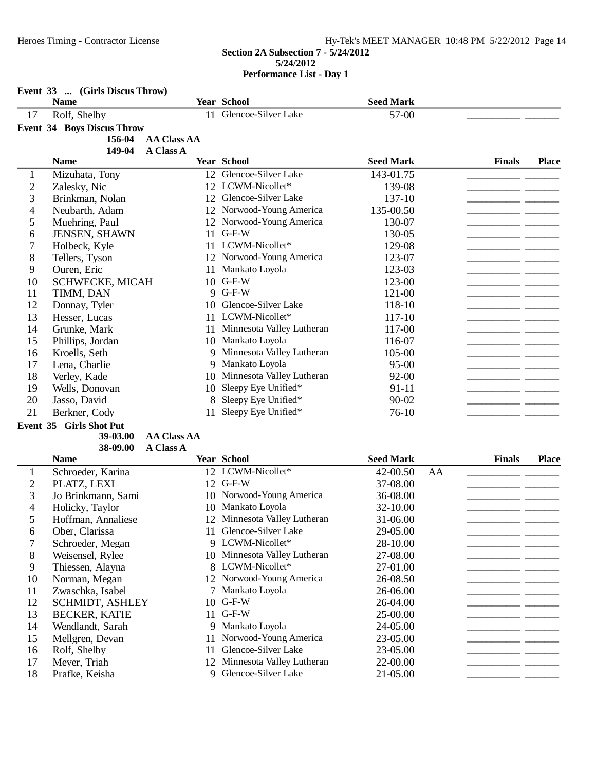|                          | Event 33  (Girls Discus Throw)<br><b>Name</b> |    | Year School                  | <b>Seed Mark</b> |    |               |              |
|--------------------------|-----------------------------------------------|----|------------------------------|------------------|----|---------------|--------------|
| 17                       | Rolf, Shelby                                  |    | 11 Glencoe-Silver Lake       | 57-00            |    |               |              |
|                          | <b>Event 34 Boys Discus Throw</b>             |    |                              |                  |    |               |              |
|                          | <b>AA Class AA</b><br>156-04                  |    |                              |                  |    |               |              |
|                          | 149-04<br><b>A Class A</b>                    |    |                              |                  |    |               |              |
|                          | <b>Name</b>                                   |    | <b>Year School</b>           | <b>Seed Mark</b> |    | <b>Finals</b> | <b>Place</b> |
| $\mathbf{1}$             | Mizuhata, Tony                                |    | 12 Glencoe-Silver Lake       | 143-01.75        |    |               |              |
| $\overline{c}$           | Zalesky, Nic                                  |    | 12 LCWM-Nicollet*            | 139-08           |    |               |              |
| 3                        | Brinkman, Nolan                               | 12 | Glencoe-Silver Lake          | 137-10           |    |               |              |
| 4                        | Neubarth, Adam                                |    | 12 Norwood-Young America     | 135-00.50        |    |               |              |
| 5                        | Muehring, Paul                                |    | 12 Norwood-Young America     | 130-07           |    |               |              |
| 6                        | JENSEN, SHAWN                                 | 11 | $G-F-W$                      | 130-05           |    |               |              |
| 7                        | Holbeck, Kyle                                 |    | 11 LCWM-Nicollet*            | 129-08           |    |               |              |
| 8                        | Tellers, Tyson                                |    | 12 Norwood-Young America     | 123-07           |    |               |              |
| 9                        | Ouren, Eric                                   |    | 11 Mankato Loyola            | 123-03           |    |               |              |
| 10                       | <b>SCHWECKE, MICAH</b>                        |    | 10 G-F-W                     | 123-00           |    |               |              |
| 11                       | TIMM, DAN                                     |    | 9 G-F-W                      | 121-00           |    |               |              |
| 12                       | Donnay, Tyler                                 | 10 | Glencoe-Silver Lake          | 118-10           |    |               |              |
| 13                       | Hesser, Lucas                                 |    | 11 LCWM-Nicollet*            | 117-10           |    | - -           |              |
| 14                       | Grunke, Mark                                  |    | 11 Minnesota Valley Lutheran | 117-00           |    |               |              |
| 15                       | Phillips, Jordan                              |    | 10 Mankato Loyola            | 116-07           |    |               |              |
| 16                       | Kroells, Seth                                 |    | 9 Minnesota Valley Lutheran  | 105-00           |    |               |              |
| 17                       | Lena, Charlie                                 |    | 9 Mankato Loyola             | $95 - 00$        |    |               |              |
| 18                       | Verley, Kade                                  |    | 10 Minnesota Valley Lutheran | 92-00            |    |               |              |
| 19                       | Wells, Donovan                                | 10 | Sleepy Eye Unified*          | 91-11            |    |               |              |
| 20                       | Jasso, David                                  | 8  | Sleepy Eye Unified*          | $90 - 02$        |    |               |              |
| 21                       | Berkner, Cody                                 | 11 | Sleepy Eye Unified*          | $76-10$          |    |               |              |
|                          | Event 35 Girls Shot Put                       |    |                              |                  |    |               |              |
|                          | <b>AA Class AA</b><br>39-03.00                |    |                              |                  |    |               |              |
|                          | 38-09.00<br><b>A Class A</b>                  |    |                              |                  |    |               |              |
|                          | <b>Name</b>                                   |    | <b>Year School</b>           | <b>Seed Mark</b> |    | <b>Finals</b> | <b>Place</b> |
| 1                        | Schroeder, Karina                             |    | 12 LCWM-Nicollet*            | 42-00.50         | AA |               |              |
| $\overline{c}$           | PLATZ, LEXI                                   |    | 12 G-F-W                     | 37-08.00         |    |               |              |
| 3                        | Jo Brinkmann, Sami                            |    | 10 Norwood-Young America     | 36-08.00         |    |               |              |
| $\overline{\mathcal{A}}$ | Holicky, Taylor                               |    | 10 Mankato Loyola            | 32-10.00         |    |               |              |
| 5                        | Hoffman, Annaliese                            |    | 12 Minnesota Valley Lutheran | 31-06.00         |    |               |              |
| 6                        | Ober, Clarissa                                | 11 | Glencoe-Silver Lake          | 29-05.00         |    |               |              |
| 7                        | Schroeder, Megan                              |    | 9 LCWM-Nicollet*             | 28-10.00         |    |               |              |
| 8                        | Weisensel, Rylee                              |    | 10 Minnesota Valley Lutheran | 27-08.00         |    |               |              |
| 9                        | Thiessen, Alayna                              |    | 8 LCWM-Nicollet*             | 27-01.00         |    |               |              |
| 10                       | Norman, Megan                                 |    | 12 Norwood-Young America     | 26-08.50         |    |               |              |
| 11                       | Zwaschka, Isabel                              |    | 7 Mankato Loyola             | 26-06.00         |    |               |              |
| 12                       | <b>SCHMIDT, ASHLEY</b>                        | 10 | $G-F-W$                      | 26-04.00         |    |               |              |
| 13                       | <b>BECKER, KATIE</b>                          | 11 | $G-F-W$                      | 25-00.00         |    |               |              |
| 14                       | Wendlandt, Sarah                              |    | 9 Mankato Loyola             | 24-05.00         |    |               |              |
| 15                       | Mellgren, Devan                               | 11 | Norwood-Young America        | 23-05.00         |    |               |              |
| 16                       | Rolf, Shelby                                  | 11 | Glencoe-Silver Lake          | 23-05.00         |    |               |              |
| 17                       | Meyer, Triah                                  |    | 12 Minnesota Valley Lutheran | 22-00.00         |    |               |              |
| 18                       | Prafke, Keisha                                |    | 9 Glencoe-Silver Lake        | 21-05.00         |    |               |              |